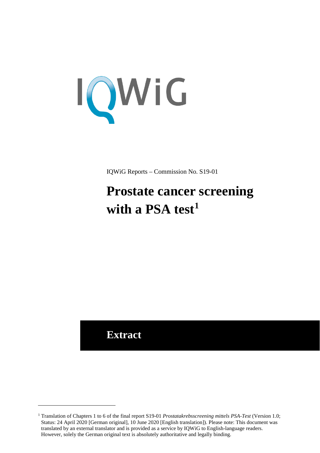

IQWiG Reports – Commission No. S19-01

# **Prostate cancer screening**  with a PSA test<sup>[1](#page-0-0)</sup>

**Extract**

<u>.</u>

<span id="page-0-0"></span><sup>1</sup> Translation of Chapters 1 to 6 of the final report S19-01 *Prostatakrebsscreening mittels PSA-Test* (Version 1.0; Status: 24 April 2020 [German original], 10 June 2020 [English translation]). Please note: This document was translated by an external translator and is provided as a service by IQWiG to English-language readers. However, solely the German original text is absolutely authoritative and legally binding.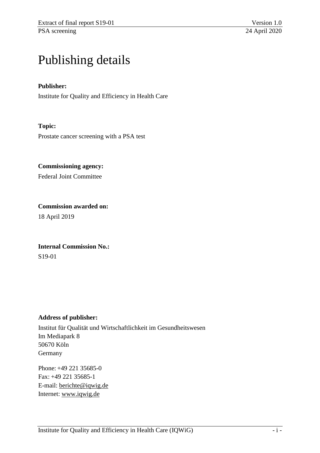# Publishing details

## **Publisher:**

Institute for Quality and Efficiency in Health Care

## **Topic:**

Prostate cancer screening with a PSA test

**Commissioning agency:** 

Federal Joint Committee

**Commission awarded on:**  18 April 2019

**Internal Commission No.:**  S19-01

#### **Address of publisher:**

Institut für Qualität und Wirtschaftlichkeit im Gesundheitswesen Im Mediapark 8 50670 Köln Germany

Phone: +49 221 35685-0 Fax: +49 221 35685-1 E-mail: [berichte@iqwig.de](mailto:berichte@iqwig.de) Internet: [www.iqwig.de](http://www.iqwig.de/)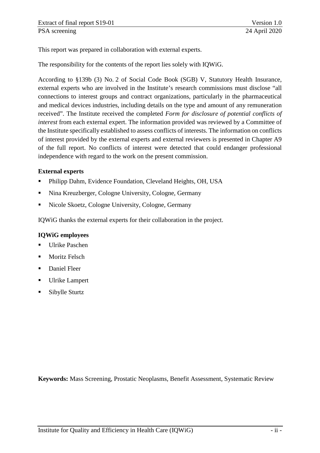This report was prepared in collaboration with external experts.

The responsibility for the contents of the report lies solely with IQWiG.

According to §139b (3) No. 2 of Social Code Book (SGB) V, Statutory Health Insurance, external experts who are involved in the Institute's research commissions must disclose "all connections to interest groups and contract organizations, particularly in the pharmaceutical and medical devices industries, including details on the type and amount of any remuneration received". The Institute received the completed *Form for disclosure of potential conflicts of interest* from each external expert. The information provided was reviewed by a Committee of the Institute specifically established to assess conflicts of interests. The information on conflicts of interest provided by the external experts and external reviewers is presented in Chapter A9 of the full report. No conflicts of interest were detected that could endanger professional independence with regard to the work on the present commission.

#### **External experts**

- Philipp Dahm, Evidence Foundation, Cleveland Heights, OH, USA
- Nina Kreuzberger, Cologne University, Cologne, Germany
- Nicole Skoetz, Cologne University, Cologne, Germany

IQWiG thanks the external experts for their collaboration in the project.

#### **IQWiG employees**

- **Ulrike Paschen**
- Moritz Felsch
- **Daniel Fleer**
- **Ulrike Lampert**
- Sibylle Sturtz

**Keywords:** Mass Screening, Prostatic Neoplasms, Benefit Assessment, Systematic Review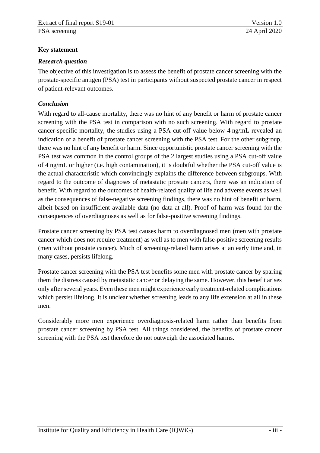## <span id="page-3-0"></span>**Key statement**

## *Research question*

The objective of this investigation is to assess the benefit of prostate cancer screening with the prostate-specific antigen (PSA) test in participants without suspected prostate cancer in respect of patient-relevant outcomes.

# *Conclusion*

With regard to all-cause mortality, there was no hint of any benefit or harm of prostate cancer screening with the PSA test in comparison with no such screening. With regard to prostate cancer-specific mortality, the studies using a PSA cut-off value below 4 ng/mL revealed an indication of a benefit of prostate cancer screening with the PSA test. For the other subgroup, there was no hint of any benefit or harm. Since opportunistic prostate cancer screening with the PSA test was common in the control groups of the 2 largest studies using a PSA cut-off value of 4 ng/mL or higher (i.e. high contamination), it is doubtful whether the PSA cut-off value is the actual characteristic which convincingly explains the difference between subgroups. With regard to the outcome of diagnoses of metastatic prostate cancers, there was an indication of benefit. With regard to the outcomes of health-related quality of life and adverse events as well as the consequences of false-negative screening findings, there was no hint of benefit or harm, albeit based on insufficient available data (no data at all). Proof of harm was found for the consequences of overdiagnoses as well as for false-positive screening findings.

Prostate cancer screening by PSA test causes harm to overdiagnosed men (men with prostate cancer which does not require treatment) as well as to men with false-positive screening results (men without prostate cancer). Much of screening-related harm arises at an early time and, in many cases, persists lifelong.

Prostate cancer screening with the PSA test benefits some men with prostate cancer by sparing them the distress caused by metastatic cancer or delaying the same. However, this benefit arises only after several years. Even these men might experience early treatment-related complications which persist lifelong. It is unclear whether screening leads to any life extension at all in these men.

Considerably more men experience overdiagnosis-related harm rather than benefits from prostate cancer screening by PSA test. All things considered, the benefits of prostate cancer screening with the PSA test therefore do not outweigh the associated harms.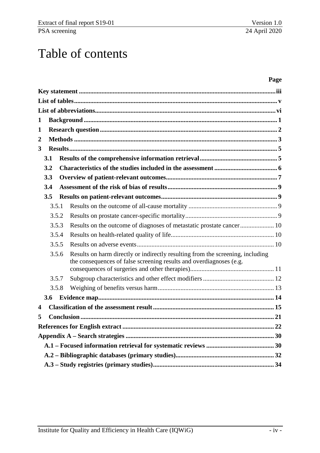# Table of contents

#### **Page**

| 1                |       |                                                                                                                                                       |  |
|------------------|-------|-------------------------------------------------------------------------------------------------------------------------------------------------------|--|
| $\mathbf{1}$     |       |                                                                                                                                                       |  |
| $\overline{2}$   |       |                                                                                                                                                       |  |
| 3                |       |                                                                                                                                                       |  |
|                  | 3.1   |                                                                                                                                                       |  |
|                  | 3.2   |                                                                                                                                                       |  |
|                  | 3.3   |                                                                                                                                                       |  |
|                  | 3.4   |                                                                                                                                                       |  |
|                  | 3.5   |                                                                                                                                                       |  |
|                  | 3.5.1 |                                                                                                                                                       |  |
|                  | 3.5.2 |                                                                                                                                                       |  |
|                  | 3.5.3 |                                                                                                                                                       |  |
|                  | 3.5.4 |                                                                                                                                                       |  |
|                  | 3.5.5 |                                                                                                                                                       |  |
|                  | 3.5.6 | Results on harm directly or indirectly resulting from the screening, including<br>the consequences of false screening results and overdiagnoses (e.g. |  |
|                  |       |                                                                                                                                                       |  |
|                  | 3.5.7 |                                                                                                                                                       |  |
|                  | 3.5.8 |                                                                                                                                                       |  |
|                  | 3.6   |                                                                                                                                                       |  |
| $\boldsymbol{4}$ |       |                                                                                                                                                       |  |
| 5                |       |                                                                                                                                                       |  |
|                  |       |                                                                                                                                                       |  |
|                  |       |                                                                                                                                                       |  |
|                  |       |                                                                                                                                                       |  |
|                  |       |                                                                                                                                                       |  |
|                  |       |                                                                                                                                                       |  |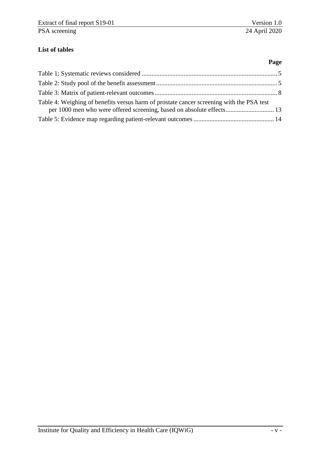**Page** 

# <span id="page-5-0"></span>**List of tables**

| Table 4: Weighing of benefits versus harm of prostate cancer screening with the PSA test |  |
|------------------------------------------------------------------------------------------|--|
|                                                                                          |  |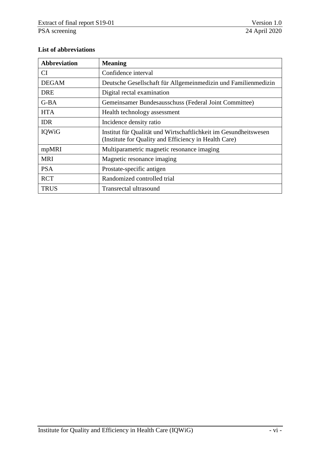## <span id="page-6-0"></span>**List of abbreviations**

| <b>Abbreviation</b> | <b>Meaning</b>                                                                                                            |
|---------------------|---------------------------------------------------------------------------------------------------------------------------|
| <b>CI</b>           | Confidence interval                                                                                                       |
| <b>DEGAM</b>        | Deutsche Gesellschaft für Allgemeinmedizin und Familienmedizin                                                            |
| <b>DRE</b>          | Digital rectal examination                                                                                                |
| $G-BA$              | Gemeinsamer Bundesausschuss (Federal Joint Committee)                                                                     |
| <b>HTA</b>          | Health technology assessment                                                                                              |
| <b>IDR</b>          | Incidence density ratio                                                                                                   |
| IQWiG               | Institut für Qualität und Wirtschaftlichkeit im Gesundheitswesen<br>(Institute for Quality and Efficiency in Health Care) |
| mpMRI               | Multiparametric magnetic resonance imaging                                                                                |
| <b>MRI</b>          | Magnetic resonance imaging                                                                                                |
| <b>PSA</b>          | Prostate-specific antigen                                                                                                 |
| <b>RCT</b>          | Randomized controlled trial                                                                                               |
| <b>TRUS</b>         | <b>Transrectal ultrasound</b>                                                                                             |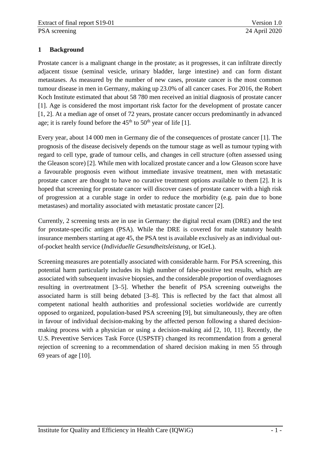## <span id="page-7-0"></span>**1 Background**

Prostate cancer is a malignant change in the prostate; as it progresses, it can infiltrate directly adjacent tissue (seminal vesicle, urinary bladder, large intestine) and can form distant metastases. As measured by the number of new cases, prostate cancer is the most common tumour disease in men in Germany, making up 23.0% of all cancer cases. For 2016, the Robert Koch Institute estimated that about 58 780 men received an initial diagnosis of prostate cancer [1]. Age is considered the most important risk factor for the development of prostate cancer [1, 2]. At a median age of onset of 72 years, prostate cancer occurs predominantly in advanced age; it is rarely found before the  $45<sup>th</sup>$  to  $50<sup>th</sup>$  year of life [1].

Every year, about 14 000 men in Germany die of the consequences of prostate cancer [1]. The prognosis of the disease decisively depends on the tumour stage as well as tumour typing with regard to cell type, grade of tumour cells, and changes in cell structure (often assessed using the Gleason score) [2]. While men with localized prostate cancer and a low Gleason score have a favourable prognosis even without immediate invasive treatment, men with metastatic prostate cancer are thought to have no curative treatment options available to them [2]. It is hoped that screening for prostate cancer will discover cases of prostate cancer with a high risk of progression at a curable stage in order to reduce the morbidity (e.g. pain due to bone metastases) and mortality associated with metastatic prostate cancer [2].

Currently, 2 screening tests are in use in Germany: the digital rectal exam (DRE) and the test for prostate-specific antigen (PSA). While the DRE is covered for male statutory health insurance members starting at age 45, the PSA test is available exclusively as an individual outof-pocket health service (*Individuelle Gesundheitsleistung*, or IGeL).

Screening measures are potentially associated with considerable harm. For PSA screening, this potential harm particularly includes its high number of false-positive test results, which are associated with subsequent invasive biopsies, and the considerable proportion of overdiagnoses resulting in overtreatment [3–5]. Whether the benefit of PSA screening outweighs the associated harm is still being debated [3–8]. This is reflected by the fact that almost all competent national health authorities and professional societies worldwide are currently opposed to organized, population-based PSA screening [9], but simultaneously, they are often in favour of individual decision-making by the affected person following a shared decisionmaking process with a physician or using a decision-making aid [2, 10, 11]. Recently, the U.S. Preventive Services Task Force (USPSTF) changed its recommendation from a general rejection of screening to a recommendation of shared decision making in men 55 through 69 years of age [10].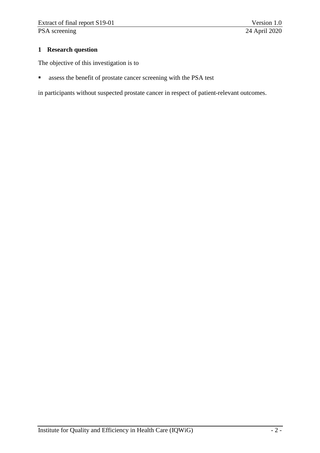## <span id="page-8-0"></span>**1 Research question**

The objective of this investigation is to

assess the benefit of prostate cancer screening with the PSA test

in participants without suspected prostate cancer in respect of patient-relevant outcomes.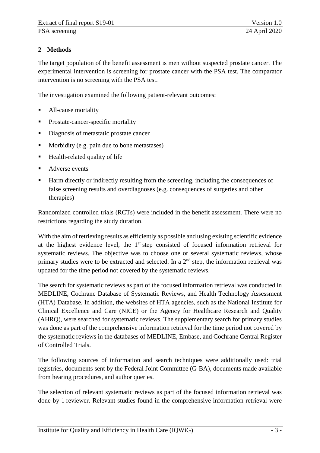# <span id="page-9-0"></span>**2 Methods**

The target population of the benefit assessment is men without suspected prostate cancer. The experimental intervention is screening for prostate cancer with the PSA test. The comparator intervention is no screening with the PSA test.

The investigation examined the following patient-relevant outcomes:

- All-cause mortality
- **Prostate-cancer-specific mortality**
- Diagnosis of metastatic prostate cancer
- Morbidity (e.g. pain due to bone metastases)
- $\blacksquare$  Health-related quality of life
- Adverse events
- Harm directly or indirectly resulting from the screening, including the consequences of false screening results and overdiagnoses (e.g. consequences of surgeries and other therapies)

Randomized controlled trials (RCTs) were included in the benefit assessment. There were no restrictions regarding the study duration.

With the aim of retrieving results as efficiently as possible and using existing scientific evidence at the highest evidence level, the  $1<sup>st</sup>$  step consisted of focused information retrieval for systematic reviews. The objective was to choose one or several systematic reviews, whose primary studies were to be extracted and selected. In a  $2<sup>nd</sup>$  step, the information retrieval was updated for the time period not covered by the systematic reviews.

The search for systematic reviews as part of the focused information retrieval was conducted in MEDLINE, Cochrane Database of Systematic Reviews, and Health Technology Assessment (HTA) Database. In addition, the websites of HTA agencies, such as the National Institute for Clinical Excellence and Care (NICE) or the Agency for Healthcare Research and Quality (AHRQ), were searched for systematic reviews. The supplementary search for primary studies was done as part of the comprehensive information retrieval for the time period not covered by the systematic reviews in the databases of MEDLINE, Embase, and Cochrane Central Register of Controlled Trials.

The following sources of information and search techniques were additionally used: trial registries, documents sent by the Federal Joint Committee (G-BA), documents made available from hearing procedures, and author queries.

The selection of relevant systematic reviews as part of the focused information retrieval was done by 1 reviewer. Relevant studies found in the comprehensive information retrieval were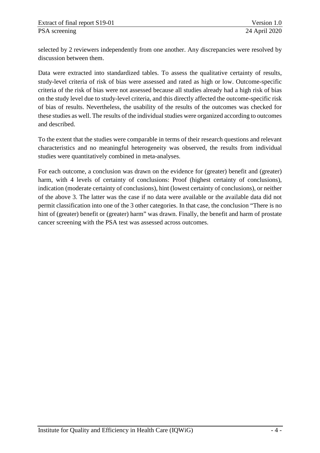selected by 2 reviewers independently from one another. Any discrepancies were resolved by discussion between them.

Data were extracted into standardized tables. To assess the qualitative certainty of results, study-level criteria of risk of bias were assessed and rated as high or low. Outcome-specific criteria of the risk of bias were not assessed because all studies already had a high risk of bias on the study level due to study-level criteria, and this directly affected the outcome-specific risk of bias of results. Nevertheless, the usability of the results of the outcomes was checked for these studies as well. The results of the individual studies were organized according to outcomes and described.

To the extent that the studies were comparable in terms of their research questions and relevant characteristics and no meaningful heterogeneity was observed, the results from individual studies were quantitatively combined in meta-analyses.

For each outcome, a conclusion was drawn on the evidence for (greater) benefit and (greater) harm, with 4 levels of certainty of conclusions: Proof (highest certainty of conclusions), indication (moderate certainty of conclusions), hint (lowest certainty of conclusions), or neither of the above 3. The latter was the case if no data were available or the available data did not permit classification into one of the 3 other categories. In that case, the conclusion "There is no hint of (greater) benefit or (greater) harm" was drawn. Finally, the benefit and harm of prostate cancer screening with the PSA test was assessed across outcomes.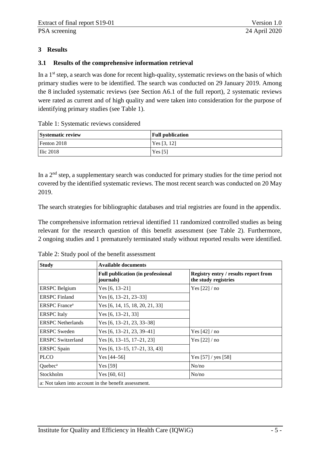## <span id="page-11-0"></span>**3 Results**

#### <span id="page-11-1"></span>**3.1 Results of the comprehensive information retrieval**

In a  $1<sup>st</sup>$  step, a search was done for recent high-quality, systematic reviews on the basis of which primary studies were to be identified. The search was conducted on 29 January 2019. Among the 8 included systematic reviews (see Section A6.1 of the full report), 2 systematic reviews were rated as current and of high quality and were taken into consideration for the purpose of identifying primary studies (see [Table 1\)](#page-11-2).

<span id="page-11-2"></span>Table 1: Systematic reviews considered

| <b>Systematic review</b> | <b>Full publication</b> |
|--------------------------|-------------------------|
| Fenton 2018              | Yes $[3, 12]$           |
| <b>Ilic 2018</b>         | Yes $[5]$               |

In a 2<sup>nd</sup> step, a supplementary search was conducted for primary studies for the time period not covered by the identified systematic reviews. The most recent search was conducted on 20 May 2019.

The search strategies for bibliographic databases and trial registries are found in the appendix.

The comprehensive information retrieval identified 11 randomized controlled studies as being relevant for the research question of this benefit assessment (see [Table 2\)](#page-11-3). Furthermore, 2 ongoing studies and 1 prematurely terminated study without reported results were identified.

| <b>Study</b>                     | <b>Available documents</b>                                   |                                                                     |  |  |  |
|----------------------------------|--------------------------------------------------------------|---------------------------------------------------------------------|--|--|--|
|                                  | <b>Full publication (in professional</b><br><i>journals)</i> | <b>Registry entry / results report from</b><br>the study registries |  |  |  |
| <b>ERSPC</b> Belgium             | Yes $[6, 13-21]$                                             | Yes [22] / no                                                       |  |  |  |
| <b>ERSPC</b> Finland             | Yes $[6, 13-21, 23-33]$                                      |                                                                     |  |  |  |
| <b>ERSPC</b> France <sup>a</sup> | Yes [6, 14, 15, 18, 20, 21, 33]                              |                                                                     |  |  |  |
| <b>ERSPC</b> Italy               | Yes [6, 13–21, 33]                                           |                                                                     |  |  |  |
| <b>ERSPC</b> Netherlands         | Yes $[6, 13-21, 23, 33-38]$                                  |                                                                     |  |  |  |
| <b>ERSPC</b> Sweden              | Yes $[6, 13-21, 23, 39-41]$                                  | Yes [42] / no                                                       |  |  |  |
| <b>ERSPC Switzerland</b>         | Yes [6, 13–15, 17–21, 23]                                    | Yes [22] / no                                                       |  |  |  |
| <b>ERSPC</b> Spain               | Yes [6, 13–15, 17–21, 33, 43]                                |                                                                     |  |  |  |
| <b>PLCO</b>                      | Yes $[44-56]$                                                | Yes [57] / yes [58]                                                 |  |  |  |
| Ouebec <sup>a</sup>              | Yes [59]                                                     | No/no                                                               |  |  |  |
| Stockholm                        | Yes [60, 61]                                                 | No/no                                                               |  |  |  |
|                                  | a: Not taken into account in the benefit assessment.         |                                                                     |  |  |  |

<span id="page-11-3"></span>Table 2: Study pool of the benefit assessment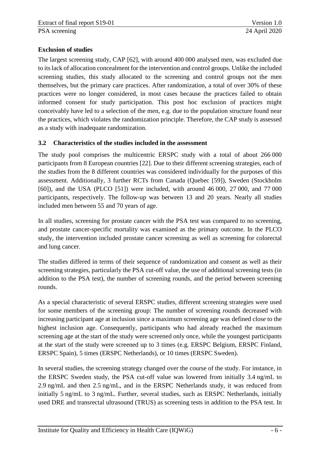## **Exclusion of studies**

The largest screening study, CAP [62], with around 400 000 analysed men, was excluded due to its lack of allocation concealment for the intervention and control groups. Unlike the included screening studies, this study allocated to the screening and control groups not the men themselves, but the primary care practices. After randomization, a total of over 30% of these practices were no longer considered, in most cases because the practices failed to obtain informed consent for study participation. This post hoc exclusion of practices might conceivably have led to a selection of the men, e.g. due to the population structure found near the practices, which violates the randomization principle. Therefore, the CAP study is assessed as a study with inadequate randomization.

#### <span id="page-12-0"></span>**3.2 Characteristics of the studies included in the assessment**

The study pool comprises the multicentric ERSPC study with a total of about 266 000 participants from 8 European countries [22]. Due to their different screening strategies, each of the studies from the 8 different countries was considered individually for the purposes of this assessment. Additionally, 3 further RCTs from Canada (Quebec [59]), Sweden (Stockholm [60]), and the USA (PLCO [51]) were included, with around 46 000, 27 000, and 77 000 participants, respectively. The follow-up was between 13 and 20 years. Nearly all studies included men between 55 and 70 years of age.

In all studies, screening for prostate cancer with the PSA test was compared to no screening, and prostate cancer-specific mortality was examined as the primary outcome. In the PLCO study, the intervention included prostate cancer screening as well as screening for colorectal and lung cancer.

The studies differed in terms of their sequence of randomization and consent as well as their screening strategies, particularly the PSA cut-off value, the use of additional screening tests (in addition to the PSA test), the number of screening rounds, and the period between screening rounds.

As a special characteristic of several ERSPC studies, different screening strategies were used for some members of the screening group: The number of screening rounds decreased with increasing participant age at inclusion since a maximum screening age was defined close to the highest inclusion age. Consequently, participants who had already reached the maximum screening age at the start of the study were screened only once, while the youngest participants at the start of the study were screened up to 3 times (e.g. ERSPC Belgium, ERSPC Finland, ERSPC Spain), 5 times (ERSPC Netherlands), or 10 times (ERSPC Sweden).

In several studies, the screening strategy changed over the course of the study. For instance, in the ERSPC Sweden study, the PSA cut-off value was lowered from initially 3.4 ng/mL to 2.9 ng/mL and then 2.5 ng/mL, and in the ERSPC Netherlands study, it was reduced from initially 5 ng/mL to 3 ng/mL. Further, several studies, such as ERSPC Netherlands, initially used DRE and transrectal ultrasound (TRUS) as screening tests in addition to the PSA test. In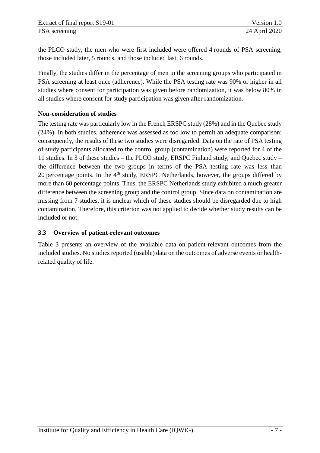the PLCO study, the men who were first included were offered 4 rounds of PSA screening, those included later, 5 rounds, and those included last, 6 rounds.

Finally, the studies differ in the percentage of men in the screening groups who participated in PSA screening at least once (adherence). While the PSA testing rate was 90% or higher in all studies where consent for participation was given before randomization, it was below 80% in all studies where consent for study participation was given after randomization.

## **Non-consideration of studies**

The testing rate was particularly low in the French ERSPC study (28%) and in the Quebec study (24%). In both studies, adherence was assessed as too low to permit an adequate comparison; consequently, the results of these two studies were disregarded. Data on the rate of PSA testing of study participants allocated to the control group (contamination) were reported for 4 of the 11 studies. In 3 of these studies – the PLCO study, ERSPC Finland study, and Quebec study – the difference between the two groups in terms of the PSA testing rate was less than 20 percentage points. In the  $4<sup>th</sup>$  study, ERSPC Netherlands, however, the groups differed by more than 60 percentage points. Thus, the ERSPC Netherlands study exhibited a much greater difference between the screening group and the control group. Since data on contamination are missing from 7 studies, it is unclear which of these studies should be disregarded due to high contamination. Therefore, this criterion was not applied to decide whether study results can be included or not.

## <span id="page-13-0"></span>**3.3 Overview of patient-relevant outcomes**

[Table 3](#page-14-0) presents an overview of the available data on patient-relevant outcomes from the included studies. No studies reported (usable) data on the outcomes of adverse events or healthrelated quality of life.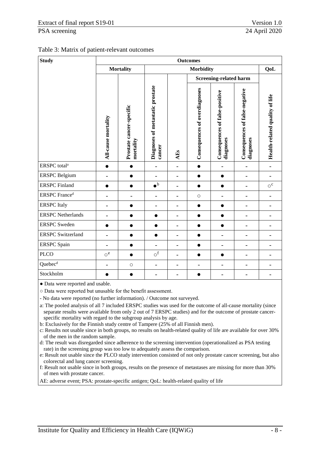<span id="page-14-0"></span>

|  | Table 3: Matrix of patient-relevant outcomes |
|--|----------------------------------------------|
|--|----------------------------------------------|

| <b>Study</b>                     | <b>Outcomes</b>               |                                       |                                            |                          |                                      |                                             |                                                    |                                |
|----------------------------------|-------------------------------|---------------------------------------|--------------------------------------------|--------------------------|--------------------------------------|---------------------------------------------|----------------------------------------------------|--------------------------------|
|                                  |                               | <b>Mortality</b>                      |                                            | QoL                      |                                      |                                             |                                                    |                                |
|                                  |                               |                                       |                                            |                          | <b>Screening-related harm</b>        |                                             |                                                    |                                |
|                                  | All-cause mortality           | Prostate cancer-specific<br>mortality | Diagnoses of metastatic prostate<br>cancer | AEs                      | <b>Consequences of overdiagnoses</b> | Consequences of false-positive<br>diagnoses | <b>Consequences of false-negative</b><br>diagnoses | Health-related quality of life |
| ERSPC total <sup>a</sup>         | $\bullet$                     | $\bullet$                             | $\overline{a}$                             | $\overline{a}$           | $\bullet$                            | $\overline{\phantom{a}}$                    |                                                    | $\overline{\phantom{0}}$       |
| <b>ERSPC</b> Belgium             | -                             | $\bullet$                             | $\overline{\phantom{0}}$                   | $\overline{a}$           | $\bullet$                            | $\bullet$                                   | -                                                  | -                              |
| <b>ERSPC</b> Finland             | $\bullet$                     | $\bullet$                             | $\bullet^{\mathrm{b}}$                     | $\overline{a}$           | $\bullet$                            | $\bullet$                                   | $\overline{a}$                                     | $\circ$ <sup>c</sup>           |
| <b>ERSPC</b> France <sup>d</sup> | -                             | -                                     | $\overline{\phantom{0}}$                   | ۰                        | $\bigcirc$                           |                                             | -                                                  | $\qquad \qquad -$              |
| <b>ERSPC</b> Italy               | -                             | $\bullet$                             | $\overline{\phantom{0}}$                   | -                        | $\bullet$                            | $\bullet$                                   |                                                    | $\overline{\phantom{0}}$       |
| <b>ERSPC</b> Netherlands         | -                             | $\bullet$                             | $\bullet$                                  | $\overline{a}$           | $\bullet$                            | $\bullet$                                   | $\overline{a}$                                     | -                              |
| <b>ERSPC</b> Sweden              | $\bullet$                     | $\bullet$                             | 0                                          |                          | $\bullet$                            | ●                                           |                                                    |                                |
| <b>ERSPC</b> Switzerland         | -                             | 8                                     | e                                          | $\overline{\phantom{0}}$ | 8                                    | -                                           |                                                    | -                              |
| <b>ERSPC</b> Spain               | -                             | $\bullet$                             | $\overline{\phantom{0}}$                   | $\overline{a}$           | $\bullet$                            | $\overline{\phantom{a}}$                    | $\overline{a}$                                     | $\qquad \qquad -$              |
| <b>PLCO</b>                      | $\mathop{\circ}^{\mathrm{e}}$ | $\bullet$                             | $\circ^{\text{f}}$                         | $\overline{a}$           | $\bullet$                            | $\bullet$                                   | -                                                  | -                              |
| Quebec <sup>d</sup>              | -                             | $\bigcirc$                            | $\overline{\phantom{0}}$                   | ۰                        | $\overline{\phantom{0}}$             | -                                           |                                                    | $\overline{a}$                 |
| Stockholm                        |                               | $\bullet$                             | $\overline{a}$                             |                          |                                      |                                             |                                                    | -                              |

● Data were reported and usable.

○ Data were reported but unusable for the benefit assessment.

- No data were reported (no further information). / Outcome not surveyed.

a: The pooled analysis of all 7 included ERSPC studies was used for the outcome of all-cause mortality (since separate results were available from only 2 out of 7 ERSPC studies) and for the outcome of prostate cancerspecific mortality with regard to the subgroup analysis by age.

b: Exclusively for the Finnish study centre of Tampere (25% of all Finnish men).

c: Results not usable since in both groups, no results on health-related quality of life are available for over 30% of the men in the random sample.

d: The result was disregarded since adherence to the screening intervention (operationalized as PSA testing rate) in the screening group was too low to adequately assess the comparison.

e: Result not usable since the PLCO study intervention consisted of not only prostate cancer screening, but also colorectal and lung cancer screening.

f: Result not usable since in both groups, results on the presence of metastases are missing for more than 30% of men with prostate cancer.

AE: adverse event; PSA: prostate-specific antigen; QoL: health-related quality of life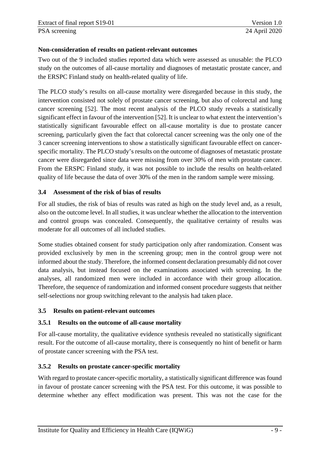#### **Non-consideration of results on patient-relevant outcomes**

Two out of the 9 included studies reported data which were assessed as unusable: the PLCO study on the outcomes of all-cause mortality and diagnoses of metastatic prostate cancer, and the ERSPC Finland study on health-related quality of life.

The PLCO study's results on all-cause mortality were disregarded because in this study, the intervention consisted not solely of prostate cancer screening, but also of colorectal and lung cancer screening [52]. The most recent analysis of the PLCO study reveals a statistically significant effect in favour of the intervention [52]. It is unclear to what extent the intervention's statistically significant favourable effect on all-cause mortality is due to prostate cancer screening, particularly given the fact that colorectal cancer screening was the only one of the 3 cancer screening interventions to show a statistically significant favourable effect on cancerspecific mortality. The PLCO study's results on the outcome of diagnoses of metastatic prostate cancer were disregarded since data were missing from over 30% of men with prostate cancer. From the ERSPC Finland study, it was not possible to include the results on health-related quality of life because the data of over 30% of the men in the random sample were missing.

#### <span id="page-15-0"></span>**3.4 Assessment of the risk of bias of results**

For all studies, the risk of bias of results was rated as high on the study level and, as a result, also on the outcome level. In all studies, it was unclear whether the allocation to the intervention and control groups was concealed. Consequently, the qualitative certainty of results was moderate for all outcomes of all included studies.

Some studies obtained consent for study participation only after randomization. Consent was provided exclusively by men in the screening group; men in the control group were not informed about the study. Therefore, the informed consent declaration presumably did not cover data analysis, but instead focused on the examinations associated with screening. In the analyses, all randomized men were included in accordance with their group allocation. Therefore, the sequence of randomization and informed consent procedure suggests that neither self-selections nor group switching relevant to the analysis had taken place.

#### <span id="page-15-1"></span>**3.5 Results on patient-relevant outcomes**

#### <span id="page-15-2"></span>**3.5.1 Results on the outcome of all-cause mortality**

For all-cause mortality, the qualitative evidence synthesis revealed no statistically significant result. For the outcome of all-cause mortality, there is consequently no hint of benefit or harm of prostate cancer screening with the PSA test.

#### <span id="page-15-3"></span>**3.5.2 Results on prostate cancer-specific mortality**

With regard to prostate cancer-specific mortality, a statistically significant difference was found in favour of prostate cancer screening with the PSA test. For this outcome, it was possible to determine whether any effect modification was present. This was not the case for the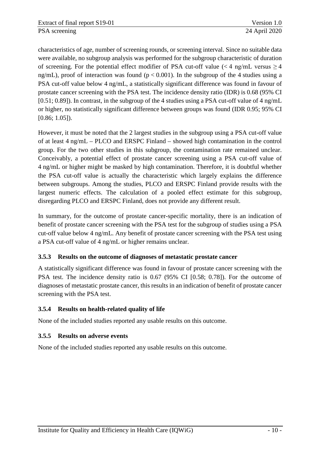characteristics of age, number of screening rounds, or screening interval. Since no suitable data were available, no subgroup analysis was performed for the subgroup characteristic of duration of screening. For the potential effect modifier of PSA cut-off value ( $\lt 4$  ng/mL versus  $\ge 4$ ng/mL), proof of interaction was found ( $p < 0.001$ ). In the subgroup of the 4 studies using a PSA cut-off value below 4 ng/mL, a statistically significant difference was found in favour of prostate cancer screening with the PSA test. The incidence density ratio (IDR) is 0.68 (95% CI [0.51; 0.89]). In contrast, in the subgroup of the 4 studies using a PSA cut-off value of 4 ng/mL or higher, no statistically significant difference between groups was found (IDR 0.95; 95% CI [0.86; 1.05]).

However, it must be noted that the 2 largest studies in the subgroup using a PSA cut-off value of at least 4 ng/mL – PLCO and ERSPC Finland – showed high contamination in the control group. For the two other studies in this subgroup, the contamination rate remained unclear. Conceivably, a potential effect of prostate cancer screening using a PSA cut-off value of 4 ng/mL or higher might be masked by high contamination. Therefore, it is doubtful whether the PSA cut-off value is actually the characteristic which largely explains the difference between subgroups. Among the studies, PLCO and ERSPC Finland provide results with the largest numeric effects. The calculation of a pooled effect estimate for this subgroup, disregarding PLCO and ERSPC Finland, does not provide any different result.

In summary, for the outcome of prostate cancer-specific mortality, there is an indication of benefit of prostate cancer screening with the PSA test for the subgroup of studies using a PSA cut-off value below 4 ng/mL. Any benefit of prostate cancer screening with the PSA test using a PSA cut-off value of 4 ng/mL or higher remains unclear.

## <span id="page-16-0"></span>**3.5.3 Results on the outcome of diagnoses of metastatic prostate cancer**

A statistically significant difference was found in favour of prostate cancer screening with the PSA test. The incidence density ratio is 0.67 (95% CI [0.58; 0.78]). For the outcome of diagnoses of metastatic prostate cancer, this results in an indication of benefit of prostate cancer screening with the PSA test.

# <span id="page-16-1"></span>**3.5.4 Results on health-related quality of life**

None of the included studies reported any usable results on this outcome.

# <span id="page-16-2"></span>**3.5.5 Results on adverse events**

None of the included studies reported any usable results on this outcome.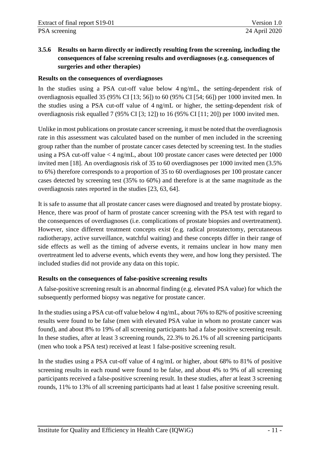# <span id="page-17-0"></span>**3.5.6 Results on harm directly or indirectly resulting from the screening, including the consequences of false screening results and overdiagnoses (e.g. consequences of surgeries and other therapies)**

## **Results on the consequences of overdiagnoses**

In the studies using a PSA cut-off value below 4 ng/mL, the setting-dependent risk of overdiagnosis equalled 35 (95% CI [13; 56]) to 60 (95% CI [54; 66]) per 1000 invited men. In the studies using a PSA cut-off value of 4 ng/mL or higher, the setting-dependent risk of overdiagnosis risk equalled 7 (95% CI [3; 12]) to 16 (95% CI [11; 20]) per 1000 invited men.

Unlike in most publications on prostate cancer screening, it must be noted that the overdiagnosis rate in this assessment was calculated based on the number of men included in the screening group rather than the number of prostate cancer cases detected by screening test. In the studies using a PSA cut-off value < 4 ng/mL, about 100 prostate cancer cases were detected per 1000 invited men [18]. An overdiagnosis risk of 35 to 60 overdiagnoses per 1000 invited men (3.5% to 6%) therefore corresponds to a proportion of 35 to 60 overdiagnoses per 100 prostate cancer cases detected by screening test (35% to 60%) and therefore is at the same magnitude as the overdiagnosis rates reported in the studies [23, 63, 64].

It is safe to assume that all prostate cancer cases were diagnosed and treated by prostate biopsy. Hence, there was proof of harm of prostate cancer screening with the PSA test with regard to the consequences of overdiagnoses (i.e. complications of prostate biopsies and overtreatment). However, since different treatment concepts exist (e.g. radical prostatectomy, percutaneous radiotherapy, active surveillance, watchful waiting) and these concepts differ in their range of side effects as well as the timing of adverse events, it remains unclear in how many men overtreatment led to adverse events, which events they were, and how long they persisted. The included studies did not provide any data on this topic.

## **Results on the consequences of false-positive screening results**

A false-positive screening result is an abnormal finding (e.g. elevated PSA value) for which the subsequently performed biopsy was negative for prostate cancer.

In the studies using a PSA cut-off value below 4 ng/mL, about 76% to 82% of positive screening results were found to be false (men with elevated PSA value in whom no prostate cancer was found), and about 8% to 19% of all screening participants had a false positive screening result. In these studies, after at least 3 screening rounds, 22.3% to 26.1% of all screening participants (men who took a PSA test) received at least 1 false-positive screening result.

In the studies using a PSA cut-off value of 4 ng/mL or higher, about 68% to 81% of positive screening results in each round were found to be false, and about 4% to 9% of all screening participants received a false-positive screening result. In these studies, after at least 3 screening rounds, 11% to 13% of all screening participants had at least 1 false positive screening result.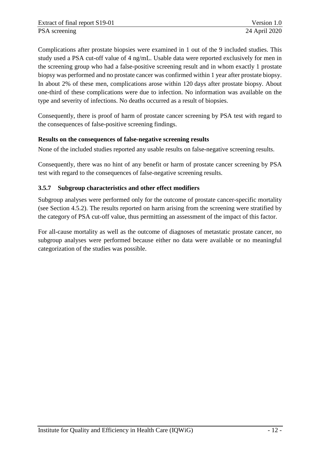Complications after prostate biopsies were examined in 1 out of the 9 included studies. This study used a PSA cut-off value of 4 ng/mL. Usable data were reported exclusively for men in the screening group who had a false-positive screening result and in whom exactly 1 prostate biopsy was performed and no prostate cancer was confirmed within 1 year after prostate biopsy. In about 2% of these men, complications arose within 120 days after prostate biopsy. About one-third of these complications were due to infection. No information was available on the type and severity of infections. No deaths occurred as a result of biopsies.

Consequently, there is proof of harm of prostate cancer screening by PSA test with regard to the consequences of false-positive screening findings.

## **Results on the consequences of false-negative screening results**

None of the included studies reported any usable results on false-negative screening results.

Consequently, there was no hint of any benefit or harm of prostate cancer screening by PSA test with regard to the consequences of false-negative screening results.

## <span id="page-18-0"></span>**3.5.7 Subgroup characteristics and other effect modifiers**

Subgroup analyses were performed only for the outcome of prostate cancer-specific mortality (see Section [4.5.2\)](#page-15-3). The results reported on harm arising from the screening were stratified by the category of PSA cut-off value, thus permitting an assessment of the impact of this factor.

For all-cause mortality as well as the outcome of diagnoses of metastatic prostate cancer, no subgroup analyses were performed because either no data were available or no meaningful categorization of the studies was possible.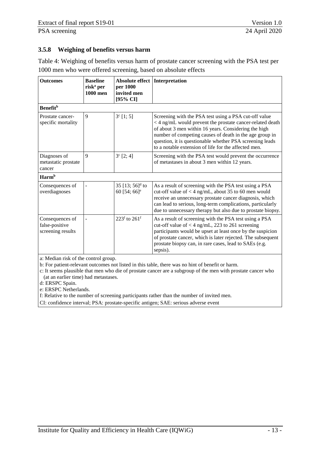## <span id="page-19-0"></span>**3.5.8 Weighing of benefits versus harm**

<span id="page-19-1"></span>

| Table 4: Weighing of benefits versus harm of prostate cancer screening with the PSA test per |
|----------------------------------------------------------------------------------------------|
| 1000 men who were offered screening, based on absolute effects                               |

| <b>Outcomes</b>                                        | <b>Baseline</b><br>risk <sup>a</sup> per<br>1000 men | Absolute effect<br>per 1000<br>invited men<br>[95% CI]     | Interpretation                                                                                                                                                                                                                                                                                                                                            |
|--------------------------------------------------------|------------------------------------------------------|------------------------------------------------------------|-----------------------------------------------------------------------------------------------------------------------------------------------------------------------------------------------------------------------------------------------------------------------------------------------------------------------------------------------------------|
| <b>Benefit</b> <sup>b</sup>                            |                                                      |                                                            |                                                                                                                                                                                                                                                                                                                                                           |
| Prostate cancer-<br>specific mortality                 | 9                                                    | $3^c$ [1; 5]                                               | Screening with the PSA test using a PSA cut-off value<br>< 4 ng/mL would prevent the prostate cancer-related death<br>of about 3 men within 16 years. Considering the high<br>number of competing causes of death in the age group in<br>question, it is questionable whether PSA screening leads<br>to a notable extension of life for the affected men. |
| Diagnoses of<br>metastatic prostate<br>cancer          | $\mathbf{Q}$                                         | $3^c$ [2; 4]                                               | Screening with the PSA test would prevent the occurrence<br>of metastases in about 3 men within 12 years.                                                                                                                                                                                                                                                 |
| Harm <sup>b</sup>                                      |                                                      |                                                            |                                                                                                                                                                                                                                                                                                                                                           |
| Consequences of<br>overdiagnoses                       |                                                      | 35 [13; $56$ ] <sup>d</sup> to<br>60 [54; 66] <sup>e</sup> | As a result of screening with the PSA test using a PSA<br>cut-off value of $<$ 4 ng/mL, about 35 to 60 men would<br>receive an unnecessary prostate cancer diagnosis, which<br>can lead to serious, long-term complications, particularly<br>due to unnecessary therapy but also due to prostate biopsy.                                                  |
| Consequences of<br>false-positive<br>screening results |                                                      | $223^f$ to $261^f$                                         | As a result of screening with the PSA test using a PSA<br>cut-off value of $<$ 4 ng/mL, 223 to 261 screening<br>participants would be upset at least once by the suspicion<br>of prostate cancer, which is later rejected. The subsequent<br>prostate biopsy can, in rare cases, lead to SAEs (e.g.<br>sepsis).                                           |

a: Median risk of the control group.

b: For patient-relevant outcomes not listed in this table, there was no hint of benefit or harm.

c: It seems plausible that men who die of prostate cancer are a subgroup of the men with prostate cancer who (at an earlier time) had metastases.

d: ERSPC Spain.

e: ERSPC Netherlands.

f: Relative to the number of screening participants rather than the number of invited men.

CI: confidence interval; PSA: prostate-specific antigen; SAE: serious adverse event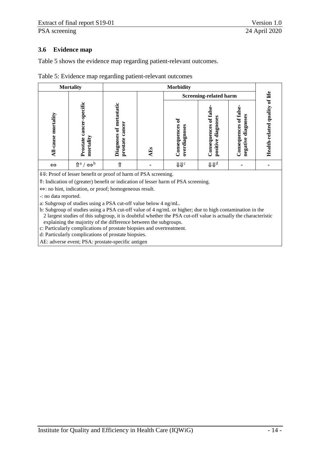#### <span id="page-20-0"></span>**3.6 Evidence map**

[Table 5](#page-20-1) shows the evidence map regarding patient-relevant outcomes.

<span id="page-20-1"></span>

| Table 5: Evidence map regarding patient-relevant outcomes |  |  |  |
|-----------------------------------------------------------|--|--|--|
|-----------------------------------------------------------|--|--|--|

|                     | <b>Mortality</b>                                                                                                                                                                                                                                                                                                                   | <b>Morbidity</b>                              |     |                                    |                                                   |                                                                |                           |         |
|---------------------|------------------------------------------------------------------------------------------------------------------------------------------------------------------------------------------------------------------------------------------------------------------------------------------------------------------------------------|-----------------------------------------------|-----|------------------------------------|---------------------------------------------------|----------------------------------------------------------------|---------------------------|---------|
|                     |                                                                                                                                                                                                                                                                                                                                    |                                               |     |                                    | Screening-related harm                            |                                                                |                           | of life |
| All-cause mortality | -specific<br>cancer<br>mortality<br>Prostate                                                                                                                                                                                                                                                                                       | Diagnoses of metastatic<br>cancer<br>prostate | AEs | ್<br>Consequences<br>overdiagnoses | of false<br>diagnoses<br>Consequences<br>positive | of false<br>diagnoses<br>Consequences<br>$\bullet$<br>negative | quality<br>Health-related |         |
| $\Leftrightarrow$   | $\hat{\mathbb{I}}^{\mathsf{a}} \mathsf{/} \Leftrightarrow^{\mathsf{b}}$                                                                                                                                                                                                                                                            |                                               |     | <b>UU</b> c                        | $J\!\!\!J J\!\!\!J^d$                             |                                                                |                           |         |
|                     | $\mathbf{H} \mathbf{H}$ $\mathbf{D}$ $\mathbf{D}$ $\mathbf{D}$ $\mathbf{C}$ $\mathbf{C}$ $\mathbf{D}$ $\mathbf{C}$ $\mathbf{D}$ $\mathbf{D}$ $\mathbf{D}$ $\mathbf{D}$ $\mathbf{C}$ $\mathbf{D}$ $\mathbf{D}$ $\mathbf{D}$ $\mathbf{D}$ $\mathbf{D}$ $\mathbf{D}$ $\mathbf{D}$ $\mathbf{D}$ $\mathbf{D}$ $\mathbf{D}$ $\mathbf{D}$ |                                               | CDA |                                    |                                                   |                                                                |                           |         |

⇓⇓: Proof of lesser benefit or proof of harm of PSA screening.

⇑: Indication of (greater) benefit or indication of lesser harm of PSA screening.

⇔: no hint, indication, or proof; homogeneous result.

-: no data reported.

a: Subgroup of studies using a PSA cut-off value below 4 ng/mL.

b: Subgroup of studies using a PSA cut-off value of 4 ng/mL or higher; due to high contamination in the 2 largest studies of this subgroup, it is doubtful whether the PSA cut-off value is actually the characteristic explaining the majority of the difference between the subgroups.

c: Particularly complications of prostate biopsies and overtreatment.

d: Particularly complications of prostate biopsies.

AE: adverse event; PSA: prostate-specific antigen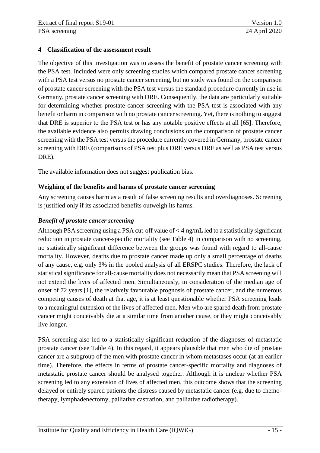#### <span id="page-21-0"></span>**4 Classification of the assessment result**

The objective of this investigation was to assess the benefit of prostate cancer screening with the PSA test. Included were only screening studies which compared prostate cancer screening with a PSA test versus no prostate cancer screening, but no study was found on the comparison of prostate cancer screening with the PSA test versus the standard procedure currently in use in Germany, prostate cancer screening with DRE. Consequently, the data are particularly suitable for determining whether prostate cancer screening with the PSA test is associated with any benefit or harm in comparison with no prostate cancer screening. Yet, there is nothing to suggest that DRE is superior to the PSA test or has any notable positive effects at all [65]. Therefore, the available evidence also permits drawing conclusions on the comparison of prostate cancer screening with the PSA test versus the procedure currently covered in Germany, prostate cancer screening with DRE (comparisons of PSA test plus DRE versus DRE as well as PSA test versus DRE).

The available information does not suggest publication bias.

## **Weighing of the benefits and harms of prostate cancer screening**

Any screening causes harm as a result of false screening results and overdiagnoses. Screening is justified only if its associated benefits outweigh its harms.

## *Benefit of prostate cancer screening*

Although PSA screening using a PSA cut-off value of < 4 ng/mL led to a statistically significant reduction in prostate cancer-specific mortality (see [Table 4\)](#page-19-1) in comparison with no screening, no statistically significant difference between the groups was found with regard to all-cause mortality. However, deaths due to prostate cancer made up only a small percentage of deaths of any cause, e.g. only 3% in the pooled analysis of all ERSPC studies. Therefore, the lack of statistical significance for all-cause mortality does not necessarily mean that PSA screening will not extend the lives of affected men. Simultaneously, in consideration of the median age of onset of 72 years [1], the relatively favourable prognosis of prostate cancer, and the numerous competing causes of death at that age, it is at least questionable whether PSA screening leads to a meaningful extension of the lives of affected men. Men who are spared death from prostate cancer might conceivably die at a similar time from another cause, or they might conceivably live longer.

PSA screening also led to a statistically significant reduction of the diagnoses of metastatic prostate cancer (see [Table 4\)](#page-19-1). In this regard, it appears plausible that men who die of prostate cancer are a subgroup of the men with prostate cancer in whom metastases occur (at an earlier time). Therefore, the effects in terms of prostate cancer-specific mortality and diagnoses of metastatic prostate cancer should be analysed together. Although it is unclear whether PSA screening led to any extension of lives of affected men, this outcome shows that the screening delayed or entirely spared patients the distress caused by metastatic cancer (e.g. due to chemotherapy, lymphadenectomy, palliative castration, and palliative radiotherapy).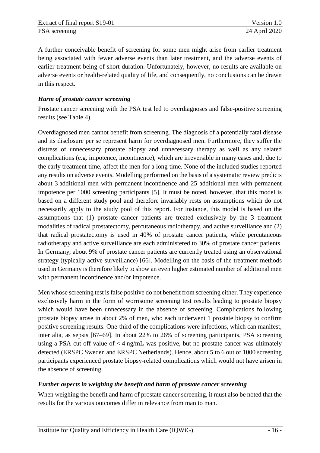A further conceivable benefit of screening for some men might arise from earlier treatment being associated with fewer adverse events than later treatment, and the adverse events of earlier treatment being of short duration. Unfortunately, however, no results are available on adverse events or health-related quality of life, and consequently, no conclusions can be drawn in this respect.

## *Harm of prostate cancer screening*

Prostate cancer screening with the PSA test led to overdiagnoses and false-positive screening results (see [Table 4\)](#page-19-1).

Overdiagnosed men cannot benefit from screening. The diagnosis of a potentially fatal disease and its disclosure per se represent harm for overdiagnosed men. Furthermore, they suffer the distress of unnecessary prostate biopsy and unnecessary therapy as well as any related complications (e.g. impotence, incontinence), which are irreversible in many cases and, due to the early treatment time, affect the men for a long time. None of the included studies reported any results on adverse events. Modelling performed on the basis of a systematic review predicts about 3 additional men with permanent incontinence and 25 additional men with permanent impotence per 1000 screening participants [5]. It must be noted, however, that this model is based on a different study pool and therefore invariably rests on assumptions which do not necessarily apply to the study pool of this report. For instance, this model is based on the assumptions that (1) prostate cancer patients are treated exclusively by the 3 treatment modalities of radical prostatectomy, percutaneous radiotherapy, and active surveillance and (2) that radical prostatectomy is used in 40% of prostate cancer patients, while percutaneous radiotherapy and active surveillance are each administered to 30% of prostate cancer patients. In Germany, about 9% of prostate cancer patients are currently treated using an observational strategy (typically active surveillance) [66]. Modelling on the basis of the treatment methods used in Germany is therefore likely to show an even higher estimated number of additional men with permanent incontinence and/or impotence.

Men whose screening test is false positive do not benefit from screening either. They experience exclusively harm in the form of worrisome screening test results leading to prostate biopsy which would have been unnecessary in the absence of screening. Complications following prostate biopsy arose in about 2% of men, who each underwent 1 prostate biopsy to confirm positive screening results. One-third of the complications were infections, which can manifest, inter alia, as sepsis [67–69]. In about 22% to 26% of screening participants, PSA screening using a PSA cut-off value of  $<$  4 ng/mL was positive, but no prostate cancer was ultimately detected (ERSPC Sweden and ERSPC Netherlands). Hence, about 5 to 6 out of 1000 screening participants experienced prostate biopsy-related complications which would not have arisen in the absence of screening.

## *Further aspects in weighing the benefit and harm of prostate cancer screening*

When weighing the benefit and harm of prostate cancer screening, it must also be noted that the results for the various outcomes differ in relevance from man to man.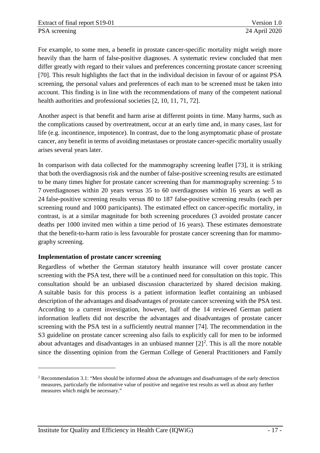For example, to some men, a benefit in prostate cancer-specific mortality might weigh more heavily than the harm of false-positive diagnoses. A systematic review concluded that men differ greatly with regard to their values and preferences concerning prostate cancer screening [70]. This result highlights the fact that in the individual decision in favour of or against PSA screening, the personal values and preferences of each man to be screened must be taken into account. This finding is in line with the recommendations of many of the competent national health authorities and professional societies [2, 10, 11, 71, 72].

Another aspect is that benefit and harm arise at different points in time. Many harms, such as the complications caused by overtreatment, occur at an early time and, in many cases, last for life (e.g. incontinence, impotence). In contrast, due to the long asymptomatic phase of prostate cancer, any benefit in terms of avoiding metastases or prostate cancer-specific mortality usually arises several years later.

In comparison with data collected for the mammography screening leaflet [73], it is striking that both the overdiagnosis risk and the number of false-positive screening results are estimated to be many times higher for prostate cancer screening than for mammography screening: 5 to 7 overdiagnoses within 20 years versus 35 to 60 overdiagnoses within 16 years as well as 24 false-positive screening results versus 80 to 187 false-positive screening results (each per screening round and 1000 participants). The estimated effect on cancer-specific mortality, in contrast, is at a similar magnitude for both screening procedures (3 avoided prostate cancer deaths per 1000 invited men within a time period of 16 years). These estimates demonstrate that the benefit-to-harm ratio is less favourable for prostate cancer screening than for mammography screening.

#### **Implementation of prostate cancer screening**

-

Regardless of whether the German statutory health insurance will cover prostate cancer screening with the PSA test, there will be a continued need for consultation on this topic. This consultation should be an unbiased discussion characterized by shared decision making. A suitable basis for this process is a patient information leaflet containing an unbiased description of the advantages and disadvantages of prostate cancer screening with the PSA test. According to a current investigation, however, half of the 14 reviewed German patient information leaflets did not describe the advantages and disadvantages of prostate cancer screening with the PSA test in a sufficiently neutral manner [74]. The recommendation in the S3 guideline on prostate cancer screening also fails to explicitly call for men to be informed about advantages and disadvantages in an unbiased manner  $[2]^2$  $[2]^2$  $[2]^2$ . This is all the more notable since the dissenting opinion from the German College of General Practitioners and Family

<span id="page-23-0"></span><sup>2</sup> Recommendation 3.1: "Men should be informed about the advantages and disadvantages of the early detection measures, particularly the informative value of positive and negative test results as well as about any further measures which might be necessary."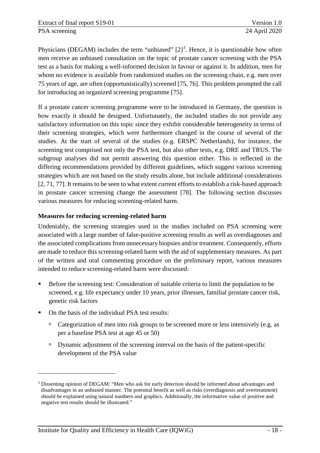Physicians (DEGAM) includes the term "unbiased"  $[2]^3$  $[2]^3$ . Hence, it is questionable how often men receive an unbiased consultation on the topic of prostate cancer screening with the PSA test as a basis for making a well-informed decision in favour or against it. In addition, men for whom no evidence is available from randomized studies on the screening chain, e.g. men over 75 years of age, are often (opportunistically) screened [75, 76]. This problem prompted the call for introducing an organized screening programme [75].

If a prostate cancer screening programme were to be introduced in Germany, the question is how exactly it should be designed. Unfortunately, the included studies do not provide any satisfactory information on this topic since they exhibit considerable heterogeneity in terms of their screening strategies, which were furthermore changed in the course of several of the studies. At the start of several of the studies (e.g. ERSPC Netherlands), for instance, the screening test comprised not only the PSA test, but also other tests, e.g. DRE and TRUS. The subgroup analyses did not permit answering this question either. This is reflected in the differing recommendations provided by different guidelines, which suggest various screening strategies which are not based on the study results alone, but include additional considerations [2, 71, 77]. It remains to be seen to what extent current efforts to establish a risk-based approach in prostate cancer screening change the assessment [78]. The following section discusses various measures for reducing screening-related harm.

## **Measures for reducing screening-related harm**

Undeniably, the screening strategies used in the studies included on PSA screening were associated with a large number of false-positive screening results as well as overdiagnoses and the associated complications from unnecessary biopsies and/or treatment. Consequently, efforts are made to reduce this screening-related harm with the aid of supplementary measures. As part of the written and oral commenting procedure on the preliminary report, various measures intended to reduce screening-related harm were discussed:

- Before the screening test: Consideration of suitable criteria to limit the population to be screened, e.g. life expectancy under 10 years, prior illnesses, familial prostate cancer risk, genetic risk factors
- On the basis of the individual PSA test results:

<u>.</u>

- Categorization of men into risk groups to be screened more or less intensively (e.g. as per a baseline PSA test at age 45 or 50)
- $\Box$  Dynamic adjustment of the screening interval on the basis of the patient-specific development of the PSA value

<span id="page-24-0"></span><sup>3</sup> Dissenting opinion of DEGAM: "Men who ask for early detection should be informed about advantages and disadvantages in an unbiased manner. The potential benefit as well as risks (overdiagnosis and overtreatment) should be explained using natural numbers and graphics. Additionally, the informative value of positive and negative test results should be illustrated."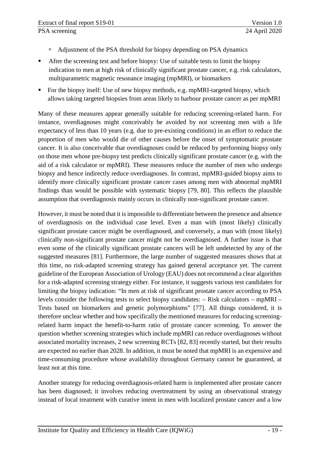- <sup>n</sup> Adjustment of the PSA threshold for biopsy depending on PSA dynamics
- After the screening test and before biopsy: Use of suitable tests to limit the biopsy indication to men at high risk of clinically significant prostate cancer, e.g. risk calculators, multiparametric magnetic resonance imaging (mpMRI), or biomarkers
- For the biopsy itself: Use of new biopsy methods, e.g. mpMRI-targeted biopsy, which allows taking targeted biopsies from areas likely to harbour prostate cancer as per mpMRI

Many of these measures appear generally suitable for reducing screening-related harm. For instance, overdiagnoses might conceivably be avoided by not screening men with a life expectancy of less than 10 years (e.g. due to pre-existing conditions) in an effort to reduce the proportion of men who would die of other causes before the onset of symptomatic prostate cancer. It is also conceivable that overdiagnoses could be reduced by performing biopsy only on those men whose pre-biopsy test predicts clinically significant prostate cancer (e.g. with the aid of a risk calculator or mpMRI). These measures reduce the number of men who undergo biopsy and hence indirectly reduce overdiagnoses. In contrast, mpMRI-guided biopsy aims to identify more clinically significant prostate cancer cases among men with abnormal mpMRI findings than would be possible with systematic biopsy [79, 80]. This reflects the plausible assumption that overdiagnosis mainly occurs in clinically non-significant prostate cancer.

However, it must be noted that it is impossible to differentiate between the presence and absence of overdiagnosis on the individual case level. Even a man with (most likely) clinically significant prostate cancer might be overdiagnosed, and conversely, a man with (most likely) clinically non-significant prostate cancer might not be overdiagnosed. A further issue is that even some of the clinically significant prostate cancers will be left undetected by any of the suggested measures [81]. Furthermore, the large number of suggested measures shows that at this time, no risk-adapted screening strategy has gained general acceptance yet. The current guideline of the European Association of Urology (EAU) does not recommend a clear algorithm for a risk-adapted screening strategy either. For instance, it suggests various test candidates for limiting the biopsy indication: "In men at risk of significant prostate cancer according to PSA levels consider the following tests to select biopsy candidates: – Risk calculators – mpMRI – Tests based on biomarkers and genetic polymorphisms" [77]. All things considered, it is therefore unclear whether and how specifically the mentioned measures for reducing screeningrelated harm impact the benefit-to-harm ratio of prostate cancer screening. To answer the question whether screening strategies which include mpMRI can reduce overdiagnoses without associated mortality increases, 2 new screening RCTs [82, 83] recently started, but their results are expected no earlier than 2028. In addition, it must be noted that mpMRI is an expensive and time-consuming procedure whose availability throughout Germany cannot be guaranteed, at least not at this time.

Another strategy for reducing overdiagnosis-related harm is implemented after prostate cancer has been diagnosed; it involves reducing overtreatment by using an observational strategy instead of local treatment with curative intent in men with localized prostate cancer and a low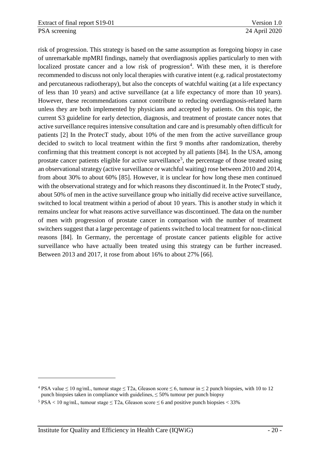risk of progression. This strategy is based on the same assumption as foregoing biopsy in case of unremarkable mpMRI findings, namely that overdiagnosis applies particularly to men with localized prostate cancer and a low risk of progression<sup>[4](#page-26-0)</sup>. With these men, it is therefore recommended to discuss not only local therapies with curative intent (e.g. radical prostatectomy and percutaneous radiotherapy), but also the concepts of watchful waiting (at a life expectancy of less than 10 years) and active surveillance (at a life expectancy of more than 10 years). However, these recommendations cannot contribute to reducing overdiagnosis-related harm unless they are both implemented by physicians and accepted by patients. On this topic, the current S3 guideline for early detection, diagnosis, and treatment of prostate cancer notes that active surveillance requires intensive consultation and care and is presumably often difficult for patients [2] In the ProtecT study, about 10% of the men from the active surveillance group decided to switch to local treatment within the first 9 months after randomization, thereby confirming that this treatment concept is not accepted by all patients [84]. In the USA, among prostate cancer patients eligible for active surveillance<sup>[5](#page-26-1)</sup>, the percentage of those treated using an observational strategy (active surveillance or watchful waiting) rose between 2010 and 2014, from about 30% to about 60% [85]. However, it is unclear for how long these men continued with the observational strategy and for which reasons they discontinued it. In the ProtecT study, about 50% of men in the active surveillance group who initially did receive active surveillance, switched to local treatment within a period of about 10 years. This is another study in which it remains unclear for what reasons active surveillance was discontinued. The data on the number of men with progression of prostate cancer in comparison with the number of treatment switchers suggest that a large percentage of patients switched to local treatment for non-clinical reasons [84]. In Germany, the percentage of prostate cancer patients eligible for active surveillance who have actually been treated using this strategy can be further increased. Between 2013 and 2017, it rose from about 16% to about 27% [66].

-

<span id="page-26-0"></span><sup>&</sup>lt;sup>4</sup> PSA value  $\leq$  10 ng/mL, tumour stage  $\leq$  T2a, Gleason score  $\leq$  6, tumour in  $\leq$  2 punch biopsies, with 10 to 12 punch biopsies taken in compliance with guidelines,  $\leq$  50% tumour per punch biopsy

<span id="page-26-1"></span><sup>&</sup>lt;sup>5</sup> PSA < 10 ng/mL, tumour stage  $\leq$  T2a, Gleason score  $\leq$  6 and positive punch biopsies < 33%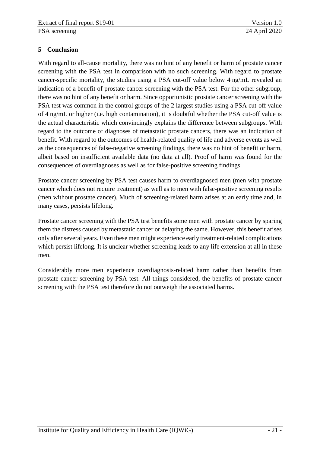## <span id="page-27-0"></span>**5 Conclusion**

With regard to all-cause mortality, there was no hint of any benefit or harm of prostate cancer screening with the PSA test in comparison with no such screening. With regard to prostate cancer-specific mortality, the studies using a PSA cut-off value below 4 ng/mL revealed an indication of a benefit of prostate cancer screening with the PSA test. For the other subgroup, there was no hint of any benefit or harm. Since opportunistic prostate cancer screening with the PSA test was common in the control groups of the 2 largest studies using a PSA cut-off value of 4 ng/mL or higher (i.e. high contamination), it is doubtful whether the PSA cut-off value is the actual characteristic which convincingly explains the difference between subgroups. With regard to the outcome of diagnoses of metastatic prostate cancers, there was an indication of benefit. With regard to the outcomes of health-related quality of life and adverse events as well as the consequences of false-negative screening findings, there was no hint of benefit or harm, albeit based on insufficient available data (no data at all). Proof of harm was found for the consequences of overdiagnoses as well as for false-positive screening findings.

Prostate cancer screening by PSA test causes harm to overdiagnosed men (men with prostate cancer which does not require treatment) as well as to men with false-positive screening results (men without prostate cancer). Much of screening-related harm arises at an early time and, in many cases, persists lifelong.

Prostate cancer screening with the PSA test benefits some men with prostate cancer by sparing them the distress caused by metastatic cancer or delaying the same. However, this benefit arises only after several years. Even these men might experience early treatment-related complications which persist lifelong. It is unclear whether screening leads to any life extension at all in these men.

Considerably more men experience overdiagnosis-related harm rather than benefits from prostate cancer screening by PSA test. All things considered, the benefits of prostate cancer screening with the PSA test therefore do not outweigh the associated harms.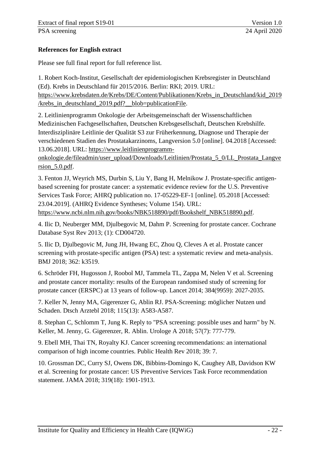## <span id="page-28-0"></span>**References for English extract**

Please see full final report for full reference list.

1. Robert Koch-Institut, Gesellschaft der epidemiologischen Krebsregister in Deutschland (Ed). Krebs in Deutschland für 2015/2016. Berlin: RKI; 2019. URL: https://www.krebsdaten.de/Krebs/DE/Content/Publikationen/Krebs\_in\_Deutschland/kid\_2019 /krebs\_in\_deutschland\_2019.pdf?\_\_blob=publicationFile.

2. Leitlinienprogramm Onkologie der Arbeitsgemeinschaft der Wissenschaftlichen Medizinischen Fachgesellschaften, Deutschen Krebsgesellschaft, Deutschen Krebshilfe. Interdisziplinäre Leitlinie der Qualität S3 zur Früherkennung, Diagnose und Therapie der verschiedenen Stadien des Prostatakarzinoms, Langversion 5.0 [online]. 04.2018 [Accessed: 13.06.2018]. URL: https://www.leitlinienprogramm-

onkologie.de/fileadmin/user\_upload/Downloads/Leitlinien/Prostata\_5\_0/LL\_Prostata\_Langve rsion\_5.0.pdf.

3. Fenton JJ, Weyrich MS, Durbin S, Liu Y, Bang H, Melnikow J. Prostate-specific antigenbased screening for prostate cancer: a systematic evidence review for the U.S. Preventive Services Task Force; AHRQ publication no. 17-05229-EF-1 [online]. 05.2018 [Accessed: 23.04.2019]. (AHRQ Evidence Syntheses; Volume 154). URL: https://www.ncbi.nlm.nih.gov/books/NBK518890/pdf/Bookshelf\_NBK518890.pdf.

4. Ilic D, Neuberger MM, Djulbegovic M, Dahm P. Screening for prostate cancer. Cochrane Database Syst Rev 2013; (1): CD004720.

5. Ilic D, Djulbegovic M, Jung JH, Hwang EC, Zhou Q, Cleves A et al. Prostate cancer screening with prostate-specific antigen (PSA) test: a systematic review and meta-analysis. BMJ 2018; 362: k3519.

6. Schröder FH, Hugosson J, Roobol MJ, Tammela TL, Zappa M, Nelen V et al. Screening and prostate cancer mortality: results of the European randomised study of screening for prostate cancer (ERSPC) at 13 years of follow-up. Lancet 2014; 384(9959): 2027-2035.

7. Keller N, Jenny MA, Gigerenzer G, Ablin RJ. PSA-Screening: möglicher Nutzen und Schaden. Dtsch Arztebl 2018; 115(13): A583-A587.

8. Stephan C, Schlomm T, Jung K. Reply to "PSA screening: possible uses and harm" by N. Keller, M. Jenny, G. Gigerenzer, R. Ablin. Urologe A 2018; 57(7): 777-779.

9. Ebell MH, Thai TN, Royalty KJ. Cancer screening recommendations: an international comparison of high income countries. Public Health Rev 2018; 39: 7.

10. Grossman DC, Curry SJ, Owens DK, Bibbins-Domingo K, Caughey AB, Davidson KW et al. Screening for prostate cancer: US Preventive Services Task Force recommendation statement. JAMA 2018; 319(18): 1901-1913.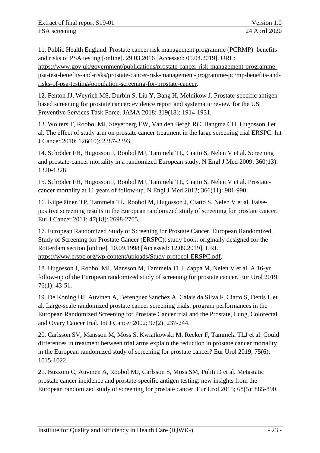11. Public Health England. Prostate cancer risk management programme (PCRMP): benefits and risks of PSA testing [online]. 29.03.2016 [Accessed: 05.04.2019]. URL: https://www.gov.uk/government/publications/prostate-cancer-risk-management-programmepsa-test-benefits-and-risks/prostate-cancer-risk-management-programme-pcrmp-benefits-andrisks-of-psa-testing#population-screening-for-prostate-cancer.

12. Fenton JJ, Weyrich MS, Durbin S, Liu Y, Bang H, Melnikow J. Prostate-specific antigenbased screening for prostate cancer: evidence report and systematic review for the US Preventive Services Task Force. JAMA 2018; 319(18): 1914-1931.

13. Wolters T, Roobol MJ, Steyerberg EW, Van den Bergh RC, Bangma CH, Hugosson J et al. The effect of study arm on prostate cancer treatment in the large screening trial ERSPC. Int J Cancer 2010; 126(10): 2387-2393.

14. Schröder FH, Hugosson J, Roobol MJ, Tammela TL, Ciatto S, Nelen V et al. Screening and prostate-cancer mortality in a randomized European study. N Engl J Med 2009; 360(13): 1320-1328.

15. Schröder FH, Hugosson J, Roobol MJ, Tammela TL, Ciatto S, Nelen V et al. Prostatecancer mortality at 11 years of follow-up. N Engl J Med 2012; 366(11): 981-990.

16. Kilpeläinen TP, Tammela TL, Roobol M, Hugosson J, Ciatto S, Nelen V et al. Falsepositive screening results in the European randomized study of screening for prostate cancer. Eur J Cancer 2011; 47(18): 2698-2705.

17. European Randomized Study of Screening for Prostate Cancer. European Randomized Study of Screening for Prostate Cancer (ERSPC): study book; originally designed for the Rotterdam section [online]. 10.09.1998 [Accessed: 12.09.2019]. URL: https://www.erspc.org/wp-content/uploads/Study-protocol-ERSPC.pdf.

18. Hugosson J, Roobol MJ, Mansson M, Tammela TLJ, Zappa M, Nelen V et al. A 16-yr follow-up of the European randomized study of screening for prostate cancer. Eur Urol 2019; 76(1): 43-51.

19. De Koning HJ, Auvinen A, Berenguer Sanchez A, Calais da Silva F, Ciatto S, Denis L et al. Large-scale randomized prostate cancer screening trials: program performances in the European Randomized Screening for Prostate Cancer trial and the Prostate, Lung, Colorectal and Ovary Cancer trial. Int J Cancer 2002; 97(2): 237-244.

20. Carlsson SV, Mansson M, Moss S, Kwiatkowski M, Recker F, Tammela TLJ et al. Could differences in treatment between trial arms explain the reduction in prostate cancer mortality in the European randomized study of screening for prostate cancer? Eur Urol 2019; 75(6): 1015-1022.

21. Buzzoni C, Auvinen A, Roobol MJ, Carlsson S, Moss SM, Puliti D et al. Metastatic prostate cancer incidence and prostate-specific antigen testing: new insights from the European randomized study of screening for prostate cancer. Eur Urol 2015; 68(5): 885-890.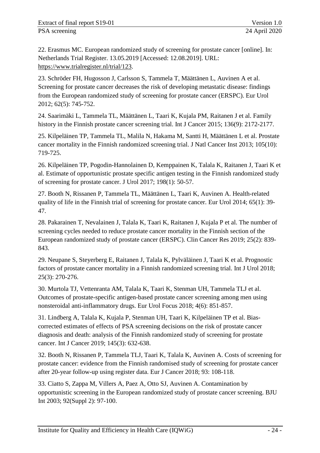22. Erasmus MC. European randomized study of screening for prostate cancer [online]. In: Netherlands Trial Register. 13.05.2019 [Accessed: 12.08.2019]. URL: https://www.trialregister.nl/trial/123.

23. Schröder FH, Hugosson J, Carlsson S, Tammela T, Määttänen L, Auvinen A et al. Screening for prostate cancer decreases the risk of developing metastatic disease: findings from the European randomized study of screening for prostate cancer (ERSPC). Eur Urol 2012; 62(5): 745-752.

24. Saarimäki L, Tammela TL, Määttänen L, Taari K, Kujala PM, Raitanen J et al. Family history in the Finnish prostate cancer screening trial. Int J Cancer 2015; 136(9): 2172-2177.

25. Kilpeläinen TP, Tammela TL, Malila N, Hakama M, Santti H, Määttänen L et al. Prostate cancer mortality in the Finnish randomized screening trial. J Natl Cancer Inst 2013; 105(10): 719-725.

26. Kilpeläinen TP, Pogodin-Hannolainen D, Kemppainen K, Talala K, Raitanen J, Taari K et al. Estimate of opportunistic prostate specific antigen testing in the Finnish randomized study of screening for prostate cancer. J Urol 2017; 198(1): 50-57.

27. Booth N, Rissanen P, Tammela TL, Määttänen L, Taari K, Auvinen A. Health-related quality of life in the Finnish trial of screening for prostate cancer. Eur Urol 2014; 65(1): 39- 47.

28. Pakarainen T, Nevalainen J, Talala K, Taari K, Raitanen J, Kujala P et al. The number of screening cycles needed to reduce prostate cancer mortality in the Finnish section of the European randomized study of prostate cancer (ERSPC). Clin Cancer Res 2019; 25(2): 839- 843.

29. Neupane S, Steyerberg E, Raitanen J, Talala K, Pylväläinen J, Taari K et al. Prognostic factors of prostate cancer mortality in a Finnish randomized screening trial. Int J Urol 2018; 25(3): 270-276.

30. Murtola TJ, Vettenranta AM, Talala K, Taari K, Stenman UH, Tammela TLJ et al. Outcomes of prostate-specific antigen-based prostate cancer screening among men using nonsteroidal anti-inflammatory drugs. Eur Urol Focus 2018; 4(6): 851-857.

31. Lindberg A, Talala K, Kujala P, Stenman UH, Taari K, Kilpeläinen TP et al. Biascorrected estimates of effects of PSA screening decisions on the risk of prostate cancer diagnosis and death: analysis of the Finnish randomized study of screening for prostate cancer. Int J Cancer 2019; 145(3): 632-638.

32. Booth N, Rissanen P, Tammela TLJ, Taari K, Talala K, Auvinen A. Costs of screening for prostate cancer: evidence from the Finnish randomised study of screening for prostate cancer after 20-year follow-up using register data. Eur J Cancer 2018; 93: 108-118.

33. Ciatto S, Zappa M, Villers A, Paez A, Otto SJ, Auvinen A. Contamination by opportunistic screening in the European randomized study of prostate cancer screening. BJU Int 2003; 92(Suppl 2): 97-100.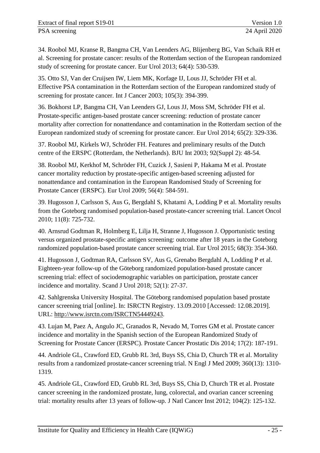34. Roobol MJ, Kranse R, Bangma CH, Van Leenders AG, Blijenberg BG, Van Schaik RH et al. Screening for prostate cancer: results of the Rotterdam section of the European randomized study of screening for prostate cancer. Eur Urol 2013; 64(4): 530-539.

35. Otto SJ, Van der Cruijsen IW, Liem MK, Korfage IJ, Lous JJ, Schröder FH et al. Effective PSA contamination in the Rotterdam section of the European randomized study of screening for prostate cancer. Int J Cancer 2003; 105(3): 394-399.

36. Bokhorst LP, Bangma CH, Van Leenders GJ, Lous JJ, Moss SM, Schröder FH et al. Prostate-specific antigen-based prostate cancer screening: reduction of prostate cancer mortality after correction for nonattendance and contamination in the Rotterdam section of the European randomized study of screening for prostate cancer. Eur Urol 2014; 65(2): 329-336.

37. Roobol MJ, Kirkels WJ, Schröder FH. Features and preliminary results of the Dutch centre of the ERSPC (Rotterdam, the Netherlands). BJU Int 2003; 92(Suppl 2): 48-54.

38. Roobol MJ, Kerkhof M, Schröder FH, Cuzick J, Sasieni P, Hakama M et al. Prostate cancer mortality reduction by prostate-specific antigen-based screening adjusted for nonattendance and contamination in the European Randomised Study of Screening for Prostate Cancer (ERSPC). Eur Urol 2009; 56(4): 584-591.

39. Hugosson J, Carlsson S, Aus G, Bergdahl S, Khatami A, Lodding P et al. Mortality results from the Goteborg randomised population-based prostate-cancer screening trial. Lancet Oncol 2010; 11(8): 725-732.

40. Arnsrud Godtman R, Holmberg E, Lilja H, Stranne J, Hugosson J. Opportunistic testing versus organized prostate-specific antigen screening: outcome after 18 years in the Goteborg randomized population-based prostate cancer screening trial. Eur Urol 2015; 68(3): 354-360.

41. Hugosson J, Godtman RA, Carlsson SV, Aus G, Grenabo Bergdahl A, Lodding P et al. Eighteen-year follow-up of the Göteborg randomized population-based prostate cancer screening trial: effect of sociodemographic variables on participation, prostate cancer incidence and mortality. Scand J Urol 2018; 52(1): 27-37.

42. Sahlgrenska University Hospital. The Göteborg randomised population based prostate cancer screening trial [online]. In: ISRCTN Registry. 13.09.2010 [Accessed: 12.08.2019]. URL: http://www.isrctn.com/ISRCTN54449243.

43. Lujan M, Paez A, Angulo JC, Granados R, Nevado M, Torres GM et al. Prostate cancer incidence and mortality in the Spanish section of the European Randomized Study of Screening for Prostate Cancer (ERSPC). Prostate Cancer Prostatic Dis 2014; 17(2): 187-191.

44. Andriole GL, Crawford ED, Grubb RL 3rd, Buys SS, Chia D, Church TR et al. Mortality results from a randomized prostate-cancer screening trial. N Engl J Med 2009; 360(13): 1310- 1319.

45. Andriole GL, Crawford ED, Grubb RL 3rd, Buys SS, Chia D, Church TR et al. Prostate cancer screening in the randomized prostate, lung, colorectal, and ovarian cancer screening trial: mortality results after 13 years of follow-up. J Natl Cancer Inst 2012; 104(2): 125-132.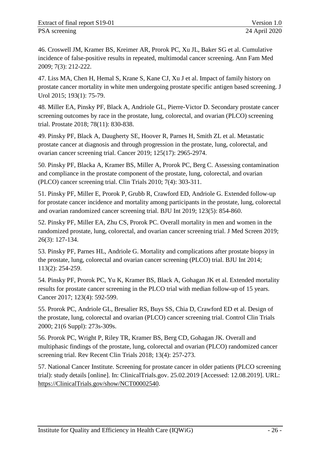46. Croswell JM, Kramer BS, Kreimer AR, Prorok PC, Xu JL, Baker SG et al. Cumulative incidence of false-positive results in repeated, multimodal cancer screening. Ann Fam Med 2009; 7(3): 212-222.

47. Liss MA, Chen H, Hemal S, Krane S, Kane CJ, Xu J et al. Impact of family history on prostate cancer mortality in white men undergoing prostate specific antigen based screening. J Urol 2015; 193(1): 75-79.

48. Miller EA, Pinsky PF, Black A, Andriole GL, Pierre-Victor D. Secondary prostate cancer screening outcomes by race in the prostate, lung, colorectal, and ovarian (PLCO) screening trial. Prostate 2018; 78(11): 830-838.

49. Pinsky PF, Black A, Daugherty SE, Hoover R, Parnes H, Smith ZL et al. Metastatic prostate cancer at diagnosis and through progression in the prostate, lung, colorectal, and ovarian cancer screening trial. Cancer 2019; 125(17): 2965-2974.

50. Pinsky PF, Blacka A, Kramer BS, Miller A, Prorok PC, Berg C. Assessing contamination and compliance in the prostate component of the prostate, lung, colorectal, and ovarian (PLCO) cancer screening trial. Clin Trials 2010; 7(4): 303-311.

51. Pinsky PF, Miller E, Prorok P, Grubb R, Crawford ED, Andriole G. Extended follow-up for prostate cancer incidence and mortality among participants in the prostate, lung, colorectal and ovarian randomized cancer screening trial. BJU Int 2019; 123(5): 854-860.

52. Pinsky PF, Miller EA, Zhu CS, Prorok PC. Overall mortality in men and women in the randomized prostate, lung, colorectal, and ovarian cancer screening trial. J Med Screen 2019; 26(3): 127-134.

53. Pinsky PF, Parnes HL, Andriole G. Mortality and complications after prostate biopsy in the prostate, lung, colorectal and ovarian cancer screening (PLCO) trial. BJU Int 2014; 113(2): 254-259.

54. Pinsky PF, Prorok PC, Yu K, Kramer BS, Black A, Gohagan JK et al. Extended mortality results for prostate cancer screening in the PLCO trial with median follow-up of 15 years. Cancer 2017; 123(4): 592-599.

55. Prorok PC, Andriole GL, Bresalier RS, Buys SS, Chia D, Crawford ED et al. Design of the prostate, lung, colorectal and ovarian (PLCO) cancer screening trial. Control Clin Trials 2000; 21(6 Suppl): 273s-309s.

56. Prorok PC, Wright P, Riley TR, Kramer BS, Berg CD, Gohagan JK. Overall and multiphasic findings of the prostate, lung, colorectal and ovarian (PLCO) randomized cancer screening trial. Rev Recent Clin Trials 2018; 13(4): 257-273.

57. National Cancer Institute. Screening for prostate cancer in older patients (PLCO screening trial): study details [online]. In: ClinicalTrials.gov. 25.02.2019 [Accessed: 12.08.2019]. URL: https://ClinicalTrials.gov/show/NCT00002540.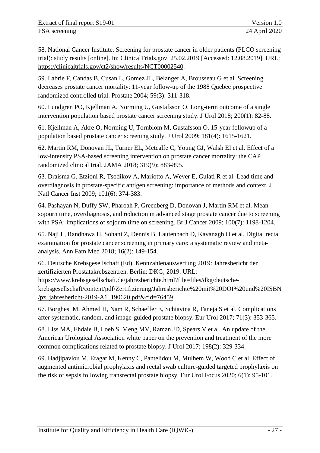58. National Cancer Institute. Screening for prostate cancer in older patients (PLCO screening trial): study results [online]. In: ClinicalTrials.gov. 25.02.2019 [Accessed: 12.08.2019]. URL: https://clinicaltrials.gov/ct2/show/results/NCT00002540.

59. Labrie F, Candas B, Cusan L, Gomez JL, Belanger A, Brousseau G et al. Screening decreases prostate cancer mortality: 11-year follow-up of the 1988 Quebec prospective randomized controlled trial. Prostate 2004; 59(3): 311-318.

60. Lundgren PO, Kjellman A, Norming U, Gustafsson O. Long-term outcome of a single intervention population based prostate cancer screening study. J Urol 2018; 200(1): 82-88.

61. Kjellman A, Akre O, Norming U, Tornblom M, Gustafsson O. 15-year followup of a population based prostate cancer screening study. J Urol 2009; 181(4): 1615-1621.

62. Martin RM, Donovan JL, Turner EL, Metcalfe C, Young GJ, Walsh EI et al. Effect of a low-intensity PSA-based screening intervention on prostate cancer mortality: the CAP randomized clinical trial. JAMA 2018; 319(9): 883-895.

63. Draisma G, Etzioni R, Tsodikov A, Mariotto A, Wever E, Gulati R et al. Lead time and overdiagnosis in prostate-specific antigen screening: importance of methods and context. J Natl Cancer Inst 2009; 101(6): 374-383.

64. Pashayan N, Duffy SW, Pharoah P, Greenberg D, Donovan J, Martin RM et al. Mean sojourn time, overdiagnosis, and reduction in advanced stage prostate cancer due to screening with PSA: implications of sojourn time on screening. Br J Cancer 2009; 100(7): 1198-1204.

65. Naji L, Randhawa H, Sohani Z, Dennis B, Lautenbach D, Kavanagh O et al. Digital rectal examination for prostate cancer screening in primary care: a systematic review and metaanalysis. Ann Fam Med 2018; 16(2): 149-154.

66. Deutsche Krebsgesellschaft (Ed). Kennzahlenauswertung 2019: Jahresbericht der zertifizierten Prostatakrebszentren. Berlin: DKG; 2019. URL: https://www.krebsgesellschaft.de/jahresberichte.html?file=files/dkg/deutschekrebsgesellschaft/content/pdf/Zertifizierung/Jahresberichte%20mit%20DOI%20und%20ISBN /pz\_jahresbericht-2019-A1\_190620.pdf&cid=76459.

67. Borghesi M, Ahmed H, Nam R, Schaeffer E, Schiavina R, Taneja S et al. Complications after systematic, random, and image-guided prostate biopsy. Eur Urol 2017; 71(3): 353-365.

68. Liss MA, Ehdaie B, Loeb S, Meng MV, Raman JD, Spears V et al. An update of the American Urological Association white paper on the prevention and treatment of the more common complications related to prostate biopsy. J Urol 2017; 198(2): 329-334.

69. Hadjipavlou M, Eragat M, Kenny C, Pantelidou M, Mulhem W, Wood C et al. Effect of augmented antimicrobial prophylaxis and rectal swab culture-guided targeted prophylaxis on the risk of sepsis following transrectal prostate biopsy. Eur Urol Focus 2020; 6(1): 95-101.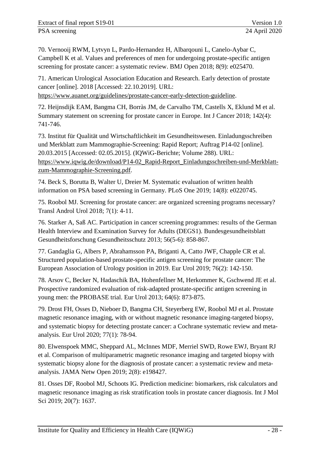70. Vernooij RWM, Lytvyn L, Pardo-Hernandez H, Albarqouni L, Canelo-Aybar C, Campbell K et al. Values and preferences of men for undergoing prostate-specific antigen screening for prostate cancer: a systematic review. BMJ Open 2018; 8(9): e025470.

71. American Urological Association Education and Research. Early detection of prostate cancer [online]. 2018 [Accessed: 22.10.2019]. URL:

https://www.auanet.org/guidelines/prostate-cancer-early-detection-guideline.

72. Heijnsdijk EAM, Bangma CH, Borràs JM, de Carvalho TM, Castells X, Eklund M et al. Summary statement on screening for prostate cancer in Europe. Int J Cancer 2018; 142(4): 741-746.

73. Institut für Qualität und Wirtschaftlichkeit im Gesundheitswesen. Einladungsschreiben und Merkblatt zum Mammographie-Screening: Rapid Report; Auftrag P14-02 [online]. 20.03.2015 [Accessed: 02.05.2015]. (IQWiG-Berichte; Volume 288). URL: https://www.iqwig.de/download/P14-02\_Rapid-Report\_Einladungsschreiben-und-Merkblattzum-Mammographie-Screening.pdf.

74. Beck S, Borutta B, Walter U, Dreier M. Systematic evaluation of written health information on PSA based screening in Germany. PLoS One 2019; 14(8): e0220745.

75. Roobol MJ. Screening for prostate cancer: are organized screening programs necessary? Transl Androl Urol 2018; 7(1): 4-11.

76. Starker A, Saß AC. Participation in cancer screening programmes: results of the German Health Interview and Examination Survey for Adults (DEGS1). Bundesgesundheitsblatt Gesundheitsforschung Gesundheitsschutz 2013; 56(5-6): 858-867.

77. Gandaglia G, Albers P, Abrahamsson PA, Briganti A, Catto JWF, Chapple CR et al. Structured population-based prostate-specific antigen screening for prostate cancer: The European Association of Urology position in 2019. Eur Urol 2019; 76(2): 142-150.

78. Arsov C, Becker N, Hadaschik BA, Hohenfellner M, Herkommer K, Gschwend JE et al. Prospective randomized evaluation of risk-adapted prostate-specific antigen screening in young men: the PROBASE trial. Eur Urol 2013; 64(6): 873-875.

79. Drost FH, Osses D, Nieboer D, Bangma CH, Steyerberg EW, Roobol MJ et al. Prostate magnetic resonance imaging, with or without magnetic resonance imaging-targeted biopsy, and systematic biopsy for detecting prostate cancer: a Cochrane systematic review and metaanalysis. Eur Urol 2020; 77(1): 78-94.

80. Elwenspoek MMC, Sheppard AL, McInnes MDF, Merriel SWD, Rowe EWJ, Bryant RJ et al. Comparison of multiparametric magnetic resonance imaging and targeted biopsy with systematic biopsy alone for the diagnosis of prostate cancer: a systematic review and metaanalysis. JAMA Netw Open 2019; 2(8): e198427.

81. Osses DF, Roobol MJ, Schoots IG. Prediction medicine: biomarkers, risk calculators and magnetic resonance imaging as risk stratification tools in prostate cancer diagnosis. Int J Mol Sci 2019; 20(7): 1637.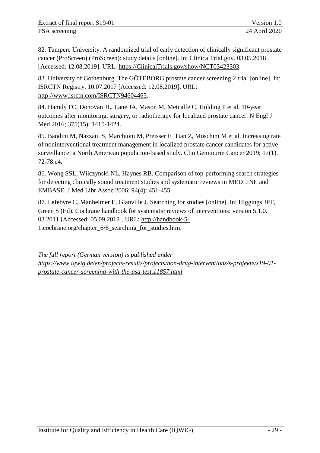82. Tampere University. A randomized trial of early detection of clinically significant prostate cancer (ProScreen) (ProScreen): study details [online]. In: ClinicalTrial.gov. 03.05.2018 [Accessed: 12.08.2019]. URL: https://ClinicalTrials.gov/show/NCT03423303.

83. University of Gothenburg. The GÖTEBORG prostate cancer screening 2 trial [online]. In: ISRCTN Registry. 10.07.2017 [Accessed: 12.08.2019]. URL: http://www.isrctn.com/ISRCTN94604465.

84. Hamdy FC, Donovan JL, Lane JA, Mason M, Metcalfe C, Holding P et al. 10-year outcomes after monitoring, surgery, or radiotherapy for localized prostate cancer. N Engl J Med 2016; 375(15): 1415-1424.

85. Bandini M, Nazzani S, Marchioni M, Preisser F, Tian Z, Moschini M et al. Increasing rate of noninterventional treatment management in localized prostate cancer candidates for active surveillance: a North American population-based study. Clin Genitourin Cancer 2019; 17(1). 72-78.e4.

86. Wong SSL, Wilczynski NL, Haynes RB. Comparison of top-performing search strategies for detecting clinically sound treatment studies and systematic reviews in MEDLINE and EMBASE. J Med Libr Assoc 2006; 94(4): 451-455.

87. Lefebvre C, Manheimer E, Glanville J. Searching for studies [online]. In: Higgings JPT, Green S (Ed). Cochrane handbook for systematic reviews of interventions: version 5.1.0. 03.2011 [Accessed: 05.09.2018]. URL: http://handbook-5- 1.cochrane.org/chapter\_6/6\_searching\_for\_studies.htm.

*The full report (German version) is published under [https://www.iqwig.de/en/projects-results/projects/non-drug-interventions/s-projekte/s19-01](https://www.iqwig.de/en/projects-results/projects/non-drug-interventions/s-projekte/s19-01-prostate-cancer-screening-with-the-psa-test.11857.html) [prostate-cancer-screening-with-the-psa-test.11857.html](https://www.iqwig.de/en/projects-results/projects/non-drug-interventions/s-projekte/s19-01-prostate-cancer-screening-with-the-psa-test.11857.html)*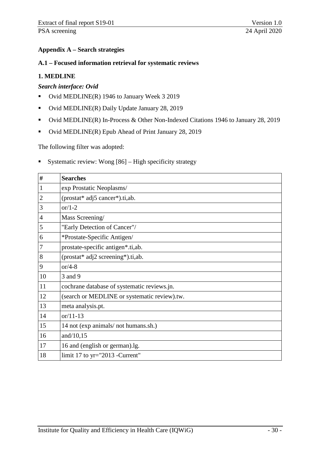## <span id="page-36-0"></span>**Appendix A – Search strategies**

#### <span id="page-36-1"></span>**A.1 – Focused information retrieval for systematic reviews**

## **1. MEDLINE**

## *Search interface: Ovid*

- Ovid MEDLINE(R) 1946 to January Week 3 2019
- Ovid MEDLINE(R) Daily Update January 28, 2019
- Ovid MEDLINE(R) In-Process & Other Non-Indexed Citations 1946 to January 28, 2019
- Ovid MEDLINE(R) Epub Ahead of Print January 28, 2019

The following filter was adopted:

Systematic review: Wong  $[86]$  – High specificity strategy

| #              | <b>Searches</b>                              |
|----------------|----------------------------------------------|
| 1              | exp Prostatic Neoplasms/                     |
| $\overline{2}$ | (prostat* adj5 cancer*).ti,ab.               |
| 3              | or $/1-2$                                    |
| 4              | Mass Screening/                              |
| 5              | "Early Detection of Cancer"/                 |
| 6              | *Prostate-Specific Antigen/                  |
| 7              | prostate-specific antigen*.ti,ab.            |
| 8              | (prostat* adj2 screening*).ti,ab.            |
| 9              | or/4-8                                       |
| 10             | 3 and 9                                      |
| 11             | cochrane database of systematic reviews.jn.  |
| 12             | (search or MEDLINE or systematic review).tw. |
| 13             | meta analysis.pt.                            |
| 14             | $or/11-13$                                   |
| 15             | 14 not (exp animals/ not humans.sh.)         |
| 16             | and/10,15                                    |
| 17             | 16 and (english or german).lg.               |
| 18             | limit $17$ to yr="2013 - Current"            |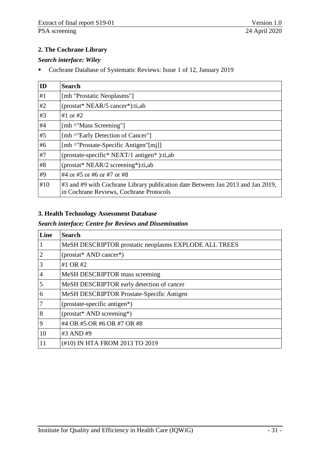## **2. The Cochrane Library**

#### *Search interface: Wiley*

Cochrane Database of Systematic Reviews: Issue 1 of 12, January 2019

| ID  | <b>Search</b>                                                                                                              |
|-----|----------------------------------------------------------------------------------------------------------------------------|
| #1  | [mh "Prostatic Neoplasms"]                                                                                                 |
| #2  | $prostat* NEAR/5 cancer*):$ ti,ab                                                                                          |
| #3  | #1 or #2                                                                                                                   |
| #4  | [mh ^"Mass Screening"]                                                                                                     |
| #5  | [mh ^"Early Detection of Cancer"]                                                                                          |
| #6  | [mh ^"Prostate-Specific Antigen"[mi]]                                                                                      |
| #7  | (prostate-specific* NEXT/1 antigen*):ti,ab                                                                                 |
| #8  | $prostat* NEAR/2 screening*):$ ti,ab                                                                                       |
| #9  | #4 or #5 or #6 or #7 or #8                                                                                                 |
| #10 | #3 and #9 with Cochrane Library publication date Between Jan 2013 and Jan 2019,<br>in Cochrane Reviews, Cochrane Protocols |

## **3. Health Technology Assessment Database**

#### *Search interface: Centre for Reviews and Dissemination*

| Line           | <b>Search</b>                                         |
|----------------|-------------------------------------------------------|
|                | MeSH DESCRIPTOR prostatic neoplasms EXPLODE ALL TREES |
| $\overline{2}$ | (prostat* AND cancer*)                                |
| 3              | #1 OR #2                                              |
| 4              | MeSH DESCRIPTOR mass screening                        |
| 5              | MeSH DESCRIPTOR early detection of cancer             |
| 6              | MeSH DESCRIPTOR Prostate-Specific Antigen             |
| $\overline{7}$ | (prostate-specific antigen*)                          |
| 8              | (prostat* AND screening*)                             |
| 9              | #4 OR #5 OR #6 OR #7 OR #8                            |
| 10             | #3 AND #9                                             |
| 11             | (#10) IN HTA FROM 2013 TO 2019                        |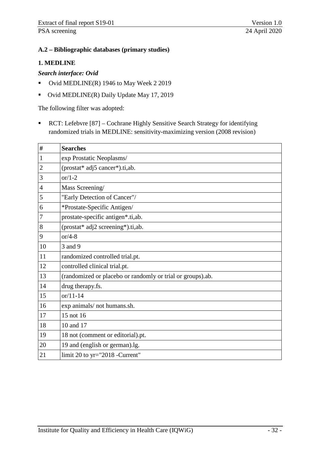## <span id="page-38-0"></span>**A.2 – Bibliographic databases (primary studies)**

#### **1. MEDLINE**

#### *Search interface: Ovid*

- Up Ovid MEDLINE(R) 1946 to May Week 2 2019
- Ovid MEDLINE(R) Daily Update May 17, 2019

The following filter was adopted:

 RCT: Lefebvre [87] – Cochrane Highly Sensitive Search Strategy for identifying randomized trials in MEDLINE: sensitivity-maximizing version (2008 revision)

| $\#$           | <b>Searches</b>                                            |
|----------------|------------------------------------------------------------|
| $\mathbf{1}$   | exp Prostatic Neoplasms/                                   |
| $\overline{2}$ | (prostat* adj5 cancer*).ti,ab.                             |
| 3              | $or/1-2$                                                   |
| $\overline{4}$ | Mass Screening/                                            |
| 5              | "Early Detection of Cancer"/                               |
| 6              | *Prostate-Specific Antigen/                                |
| $\overline{7}$ | prostate-specific antigen*.ti,ab.                          |
| 8              | (prostat* adj2 screening*).ti,ab.                          |
| 9              | $or/4-8$                                                   |
| 10             | 3 and 9                                                    |
| 11             | randomized controlled trial.pt.                            |
| 12             | controlled clinical trial.pt.                              |
| 13             | (randomized or placebo or randomly or trial or groups).ab. |
| 14             | drug therapy.fs.                                           |
| 15             | $or/11-14$                                                 |
| 16             | exp animals/ not humans.sh.                                |
| 17             | 15 not 16                                                  |
| 18             | 10 and 17                                                  |
| 19             | 18 not (comment or editorial).pt.                          |
| 20             | 19 and (english or german).lg.                             |
| 21             | limit 20 to $yr="2018$ -Current"                           |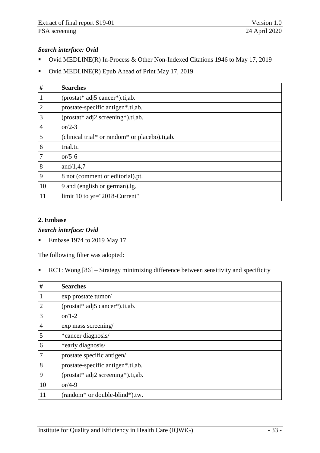## *Search interface: Ovid*

- Ovid MEDLINE(R) In-Process & Other Non-Indexed Citations 1946 to May 17, 2019
- Ovid MEDLINE(R) Epub Ahead of Print May 17, 2019

| $\#$           | <b>Searches</b>                                |
|----------------|------------------------------------------------|
| $\mathbf{1}$   | $prostat*$ adj5 cancer*).ti,ab.                |
| $\overline{2}$ | prostate-specific antigen*.ti,ab.              |
| 3              | (prostat* adj2 screening*).ti,ab.              |
| $\overline{4}$ | or/2-3                                         |
| 5              | (clinical trial* or random* or placebo).ti,ab. |
| 6              | trial.ti.                                      |
| $\overline{7}$ | or/5-6                                         |
| 8              | and/ $1,4,7$                                   |
| 9              | 8 not (comment or editorial).pt.               |
| 10             | 9 and (english or german).lg.                  |
| 11             | limit 10 to $yr="2018-Current"$                |

#### **2. Embase**

#### *Search interface: Ovid*

Embase 1974 to 2019 May 17

The following filter was adopted:

RCT: Wong [86] – Strategy minimizing difference between sensitivity and specificity

| $\#$           | <b>Searches</b>                                         |
|----------------|---------------------------------------------------------|
| $\mathbf{1}$   | exp prostate tumor/                                     |
| $\overline{2}$ | (prostat* adj5 cancer*).ti,ab.                          |
| 3              | or/1-2                                                  |
| $\overline{4}$ | exp mass screening/                                     |
| 5              | *cancer diagnosis/                                      |
| 6              | *early diagnosis/                                       |
| $\overline{7}$ | prostate specific antigen/                              |
| 8              | prostate-specific antigen*.ti,ab.                       |
| 9              | (prostat* adj2 screening*).ti,ab.                       |
| 10             | or/4-9                                                  |
| 11             | (random <sup>*</sup> or double-blind <sup>*</sup> ).tw. |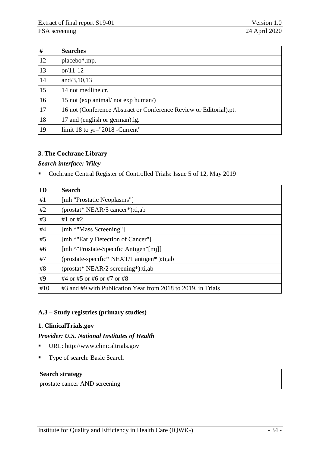| #  | <b>Searches</b>                                                    |
|----|--------------------------------------------------------------------|
| 12 | placebo <sup>*</sup> .mp.                                          |
| 13 | or/11-12                                                           |
| 14 | and/3,10,13                                                        |
| 15 | 14 not medline.cr.                                                 |
| 16 | 15 not (exp animal/ not exp human/)                                |
| 17 | 16 not (Conference Abstract or Conference Review or Editorial).pt. |
| 18 | 17 and (english or german).lg.                                     |
| 19 | limit 18 to $yr="2018$ -Current"                                   |

## **3. The Cochrane Library**

#### *Search interface: Wiley*

Cochrane Central Register of Controlled Trials: Issue 5 of 12, May 2019

| $\overline{ID}$ | <b>Search</b>                                                |
|-----------------|--------------------------------------------------------------|
| #1              | [mh "Prostatic Neoplasms"]                                   |
| #2              | (prostat* NEAR/5 cancer*):ti,ab                              |
| #3              | #1 or #2                                                     |
| #4              | [mh ^"Mass Screening"]                                       |
| #5              | [mh ^"Early Detection of Cancer"]                            |
| #6              | [mh ^"Prostate-Specific Antigen"[mj]]                        |
| #7              | (prostate-specific* NEXT/1 antigen*):ti,ab                   |
| #8              | (prostat* NEAR/2 screening*):ti,ab                           |
| #9              | #4 or #5 or #6 or #7 or #8                                   |
| #10             | #3 and #9 with Publication Year from 2018 to 2019, in Trials |

## <span id="page-40-0"></span>**A.3 – Study registries (primary studies)**

## **1. ClinicalTrials.gov**

#### *Provider: U.S. National Institutes of Health*

- URL: [http://www.clinicaltrials.gov](http://www.clinicaltrials.gov/)
- **Type of search: Basic Search**

#### **Search strategy**

prostate cancer AND screening